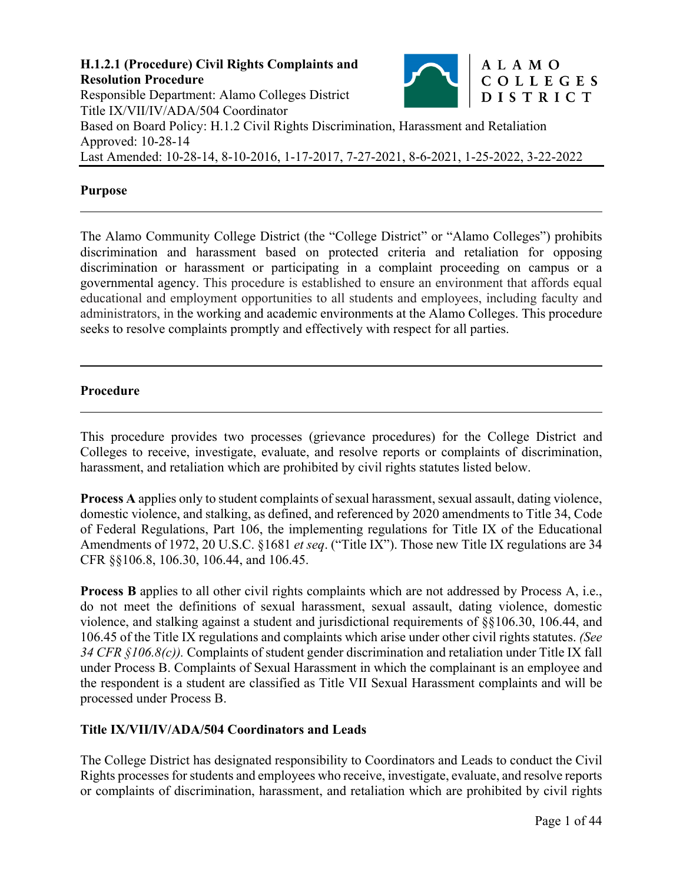

#### **Purpose**

 $\overline{a}$ 

 $\overline{a}$ 

The Alamo Community College District (the "College District" or "Alamo Colleges") prohibits discrimination and harassment based on protected criteria and retaliation for opposing discrimination or harassment or participating in a complaint proceeding on campus or a governmental agency. This procedure is established to ensure an environment that affords equal educational and employment opportunities to all students and employees, including faculty and administrators, in the working and academic environments at the Alamo Colleges. This procedure seeks to resolve complaints promptly and effectively with respect for all parties.

#### **Procedure**

This procedure provides two processes (grievance procedures) for the College District and Colleges to receive, investigate, evaluate, and resolve reports or complaints of discrimination, harassment, and retaliation which are prohibited by civil rights statutes listed below.

**Process A** applies only to student complaints of sexual harassment, sexual assault, dating violence, domestic violence, and stalking, as defined, and referenced by 2020 amendments to Title 34, Code of Federal Regulations, Part 106, the implementing regulations for Title IX of the Educational Amendments of 1972, 20 U.S.C. §1681 *et seq*. ("Title IX"). Those new Title IX regulations are 34 CFR §§106.8, 106.30, 106.44, and 106.45.

**Process B** applies to all other civil rights complaints which are not addressed by Process A, i.e., do not meet the definitions of sexual harassment, sexual assault, dating violence, domestic violence, and stalking against a student and jurisdictional requirements of §§106.30, 106.44, and 106.45 of the Title IX regulations and complaints which arise under other civil rights statutes. *(See 34 CFR §106.8(c)).* Complaints of student gender discrimination and retaliation under Title IX fall under Process B. Complaints of Sexual Harassment in which the complainant is an employee and the respondent is a student are classified as Title VII Sexual Harassment complaints and will be processed under Process B.

### **Title IX/VII/IV/ADA/504 Coordinators and Leads**

The College District has designated responsibility to Coordinators and Leads to conduct the Civil Rights processes for students and employees who receive, investigate, evaluate, and resolve reports or complaints of discrimination, harassment, and retaliation which are prohibited by civil rights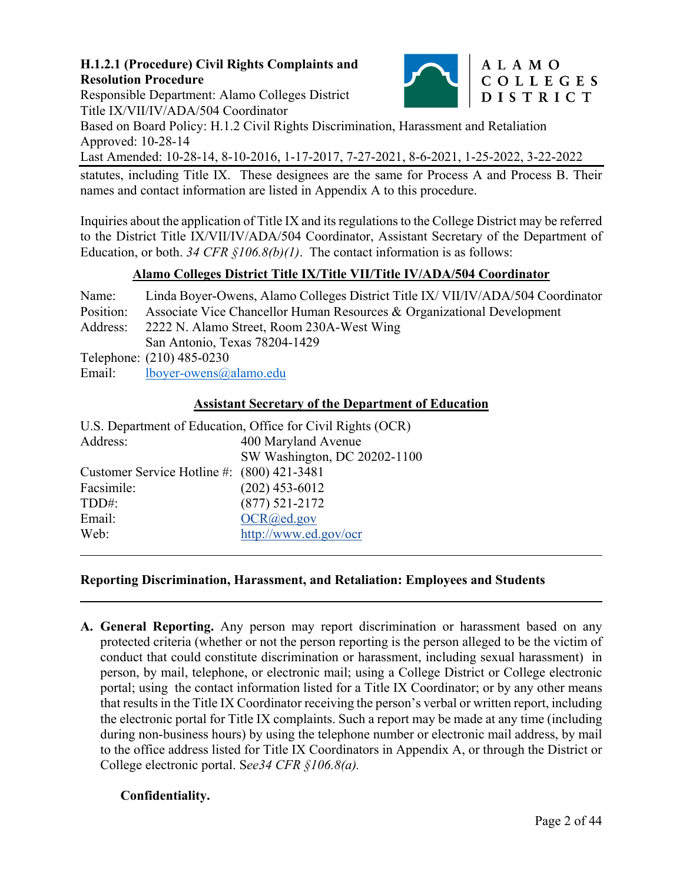

## ALAMO COLLEGES DISTRICT

Responsible Department: Alamo Colleges District Title IX/VII/IV/ADA/504 Coordinator

Based on Board Policy: H.1.2 Civil Rights Discrimination, Harassment and Retaliation Approved: 10-28-14

Last Amended: 10-28-14, 8-10-2016, 1-17-2017, 7-27-2021, 8-6-2021, 1-25-2022, 3-22-2022

statutes, including Title IX. These designees are the same for Process A and Process B. Their names and contact information are listed in Appendix A to this procedure.

Inquiries about the application of Title IX and its regulations to the College District may be referred to the District Title IX/VII/IV/ADA/504 Coordinator, Assistant Secretary of the Department of Education, or both. 34 CFR §106.8(b)(1). The contact information is as follows:

# **Alamo Colleges District Title IX/Title VII/Title IV/ADA/504 Coordinator**

Name: Linda Boyer-Owens, Alamo Colleges District Title IX/ VII/IV/ADA/504 Coordinator Position: Associate Vice Chancellor Human Resources & Organizational Development Address: 2222 N. Alamo Street, Room 230A-West Wing San Antonio, Texas 78204-1429 Telephone: (210) 485-0230 Email: lboyer-owens@alamo.edu

### **Assistant Secretary of the Department of Education**

| U.S. Department of Education, Office for Civil Rights (OCR) |                              |
|-------------------------------------------------------------|------------------------------|
| Address:                                                    | 400 Maryland Avenue          |
|                                                             | SW Washington, DC 20202-1100 |
| Customer Service Hotline #: (800) 421-3481                  |                              |
| Facsimile:                                                  | $(202)$ 453-6012             |
| TDD#:                                                       | $(877) 521 - 2172$           |
| Email:                                                      | OCR@ed.gov                   |
| Web:                                                        | http://www.ed.gov/ocr        |
|                                                             |                              |

### **Reporting Discrimination, Harassment, and Retaliation: Employees and Students**

**A. General Reporting.** Any person may report discrimination or harassment based on any protected criteria (whether or not the person reporting is the person alleged to be the victim of conduct that could constitute discrimination or harassment, including sexual harassment) in person, by mail, telephone, or electronic mail; using a College District or College electronic portal; using the contact information listed for a Title IX Coordinator; or by any other means that results in the Title IX Coordinator receiving the person's verbal or written report, including the electronic portal for Title IX complaints. Such a report may be made at any time (including during non-business hours) by using the telephone number or electronic mail address, by mail to the office address listed for Title IX Coordinators in Appendix A, or through the District or College electronic portal. S*ee34 CFR §106.8(a).* 

### **Confidentiality.**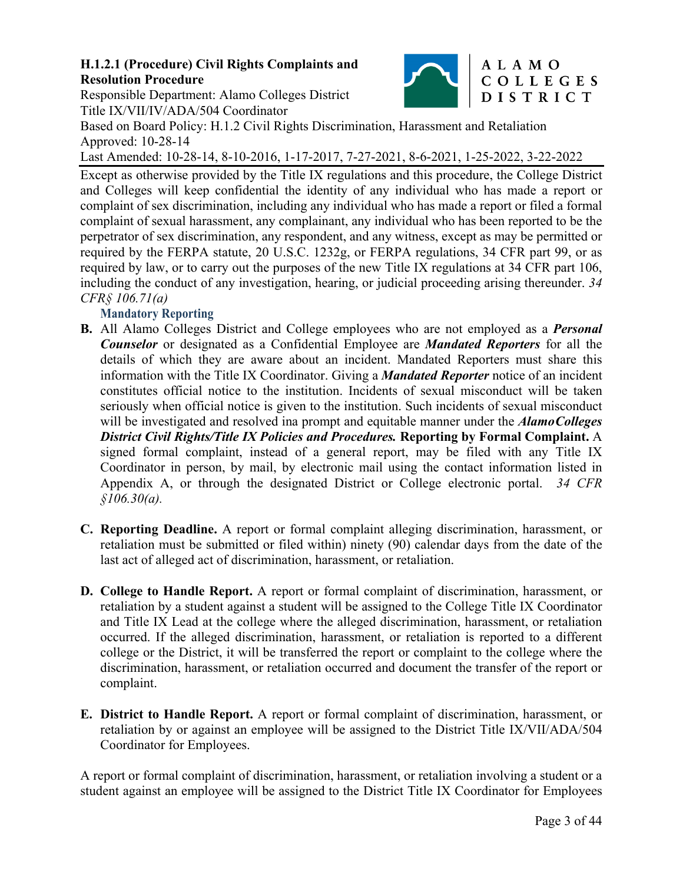Responsible Department: Alamo Colleges District Title IX/VII/IV/ADA/504 Coordinator

Based on Board Policy: H.1.2 Civil Rights Discrimination, Harassment and Retaliation Approved: 10-28-14

Last Amended: 10-28-14, 8-10-2016, 1-17-2017, 7-27-2021, 8-6-2021, 1-25-2022, 3-22-2022

Except as otherwise provided by the Title IX regulations and this procedure, the College District and Colleges will keep confidential the identity of any individual who has made a report or complaint of sex discrimination, including any individual who has made a report or filed a formal complaint of sexual harassment, any complainant, any individual who has been reported to be the perpetrator of sex discrimination, any respondent, and any witness, except as may be permitted or required by the FERPA statute, 20 U.S.C. 1232g, or FERPA regulations, 34 CFR part 99, or as required by law, or to carry out the purposes of the new Title IX regulations at 34 CFR part 106, including the conduct of any investigation, hearing, or judicial proceeding arising thereunder. *34 CFR§ 106.71(a)* 

### **Mandatory Reporting**

- **B.** All Alamo Colleges District and College employees who are not employed as a *Personal Counselor* or designated as a Confidential Employee are *Mandated Reporters* for all the details of which they are aware about an incident. Mandated Reporters must share this information with the Title IX Coordinator. Giving a *Mandated Reporter* notice of an incident constitutes official notice to the institution. Incidents of sexual misconduct will be taken seriously when official notice is given to the institution. Such incidents of sexual misconduct will be investigated and resolved ina prompt and equitable manner under the *Alamo Colleges District Civil Rights/Title IX Policies and Procedures.* **Reporting by Formal Complaint.** A signed formal complaint, instead of a general report, may be filed with any Title IX Coordinator in person, by mail, by electronic mail using the contact information listed in Appendix A, or through the designated District or College electronic portal. *34 CFR §106.30(a).*
- **C. Reporting Deadline.** A report or formal complaint alleging discrimination, harassment, or retaliation must be submitted or filed within) ninety (90) calendar days from the date of the last act of alleged act of discrimination, harassment, or retaliation.
- **D. College to Handle Report.** A report or formal complaint of discrimination, harassment, or retaliation by a student against a student will be assigned to the College Title IX Coordinator and Title IX Lead at the college where the alleged discrimination, harassment, or retaliation occurred. If the alleged discrimination, harassment, or retaliation is reported to a different college or the District, it will be transferred the report or complaint to the college where the discrimination, harassment, or retaliation occurred and document the transfer of the report or complaint.
- **E. District to Handle Report.** A report or formal complaint of discrimination, harassment, or retaliation by or against an employee will be assigned to the District Title IX/VII/ADA/504 Coordinator for Employees.

A report or formal complaint of discrimination, harassment, or retaliation involving a student or a student against an employee will be assigned to the District Title IX Coordinator for Employees



# ALAMO COLLEGES DISTRICT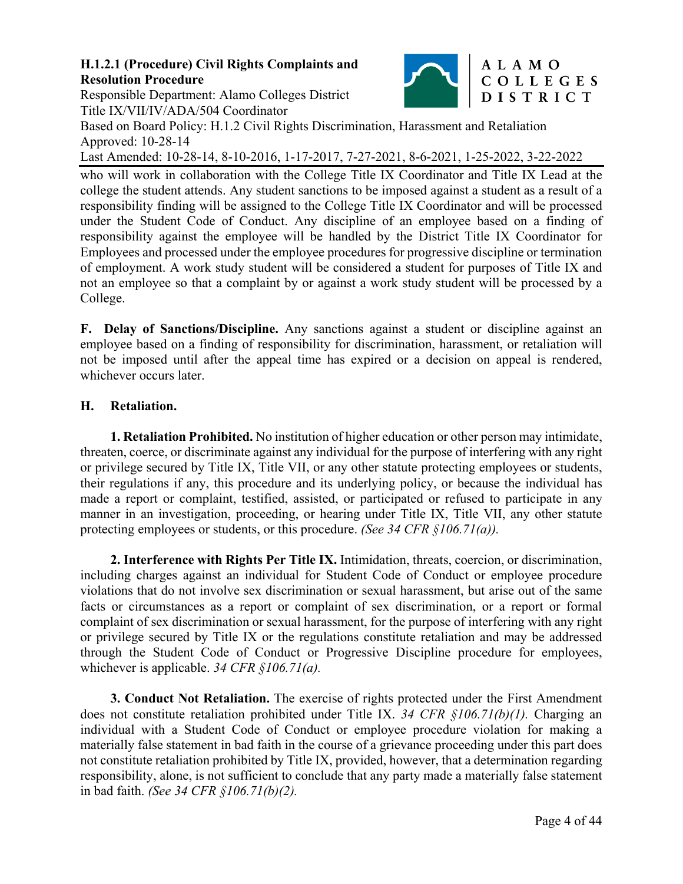

# Responsible Department: Alamo Colleges District Title IX/VII/IV/ADA/504 Coordinator

Based on Board Policy: H.1.2 Civil Rights Discrimination, Harassment and Retaliation Approved: 10-28-14

Last Amended: 10-28-14, 8-10-2016, 1-17-2017, 7-27-2021, 8-6-2021, 1-25-2022, 3-22-2022

who will work in collaboration with the College Title IX Coordinator and Title IX Lead at the college the student attends. Any student sanctions to be imposed against a student as a result of a responsibility finding will be assigned to the College Title IX Coordinator and will be processed under the Student Code of Conduct. Any discipline of an employee based on a finding of responsibility against the employee will be handled by the District Title IX Coordinator for Employees and processed under the employee procedures for progressive discipline or termination of employment. A work study student will be considered a student for purposes of Title IX and not an employee so that a complaint by or against a work study student will be processed by a College.

**F. Delay of Sanctions/Discipline.** Any sanctions against a student or discipline against an employee based on a finding of responsibility for discrimination, harassment, or retaliation will not be imposed until after the appeal time has expired or a decision on appeal is rendered, whichever occurs later.

# **H. Retaliation.**

**1. Retaliation Prohibited.** No institution of higher education or other person may intimidate, threaten, coerce, or discriminate against any individual for the purpose of interfering with any right or privilege secured by Title IX, Title VII, or any other statute protecting employees or students, their regulations if any, this procedure and its underlying policy, or because the individual has made a report or complaint, testified, assisted, or participated or refused to participate in any manner in an investigation, proceeding, or hearing under Title IX, Title VII, any other statute protecting employees or students, or this procedure. *(See 34 CFR §106.71(a)).*

**2. Interference with Rights Per Title IX.** Intimidation, threats, coercion, or discrimination, including charges against an individual for Student Code of Conduct or employee procedure violations that do not involve sex discrimination or sexual harassment, but arise out of the same facts or circumstances as a report or complaint of sex discrimination, or a report or formal complaint of sex discrimination or sexual harassment, for the purpose of interfering with any right or privilege secured by Title IX or the regulations constitute retaliation and may be addressed through the Student Code of Conduct or Progressive Discipline procedure for employees, whichever is applicable. *34 CFR §106.71(a).* 

**3. Conduct Not Retaliation.** The exercise of rights protected under the First Amendment does not constitute retaliation prohibited under Title IX. *34 CFR §106.71(b)(1).* Charging an individual with a Student Code of Conduct or employee procedure violation for making a materially false statement in bad faith in the course of a grievance proceeding under this part does not constitute retaliation prohibited by Title IX, provided, however, that a determination regarding responsibility, alone, is not sufficient to conclude that any party made a materially false statement in bad faith. *(See 34 CFR §106.71(b)(2).*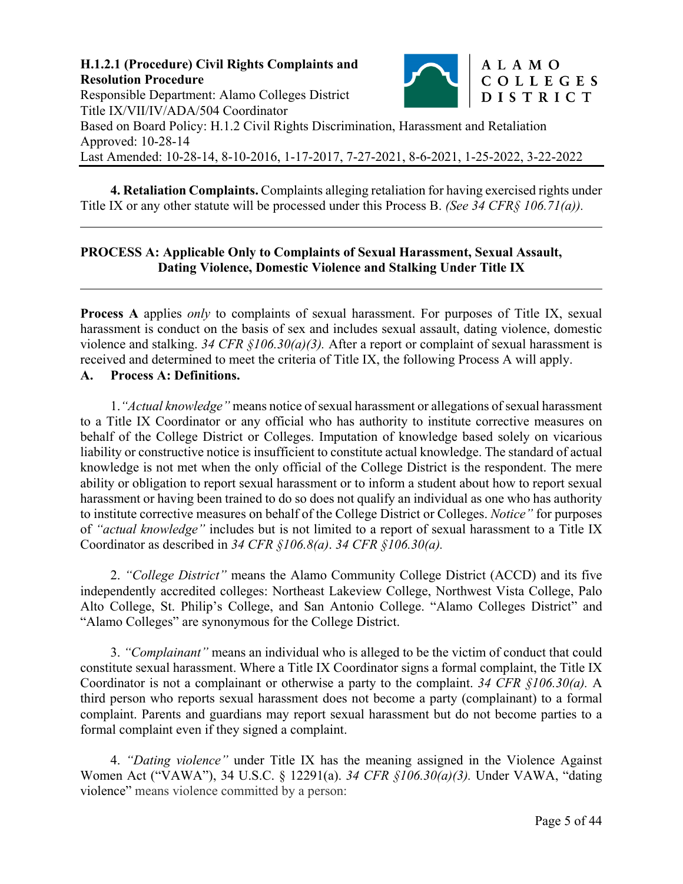

**4. Retaliation Complaints.** Complaints alleging retaliation for having exercised rights under Title IX or any other statute will be processed under this Process B. *(See 34 CFR§ 106.71(a)).* 

### **PROCESS A: Applicable Only to Complaints of Sexual Harassment, Sexual Assault, Dating Violence, Domestic Violence and Stalking Under Title IX**

**Process A** applies *only* to complaints of sexual harassment. For purposes of Title IX, sexual harassment is conduct on the basis of sex and includes sexual assault, dating violence, domestic violence and stalking. *34 CFR §106.30(a)(3).* After a report or complaint of sexual harassment is received and determined to meet the criteria of Title IX, the following Process A will apply.

#### **A. Process A: Definitions.**

 $\overline{a}$ 

 $\overline{a}$ 

1.*"Actual knowledge"* means notice of sexual harassment or allegations of sexual harassment to a Title IX Coordinator or any official who has authority to institute corrective measures on behalf of the College District or Colleges. Imputation of knowledge based solely on vicarious liability or constructive notice is insufficient to constitute actual knowledge. The standard of actual knowledge is not met when the only official of the College District is the respondent. The mere ability or obligation to report sexual harassment or to inform a student about how to report sexual harassment or having been trained to do so does not qualify an individual as one who has authority to institute corrective measures on behalf of the College District or Colleges. *Notice"* for purposes of *"actual knowledge"* includes but is not limited to a report of sexual harassment to a Title IX Coordinator as described in *34 CFR §106.8(a)*. *34 CFR §106.30(a).*

2. *"College District"* means the Alamo Community College District (ACCD) and its five independently accredited colleges: Northeast Lakeview College, Northwest Vista College, Palo Alto College, St. Philip's College, and San Antonio College. "Alamo Colleges District" and "Alamo Colleges" are synonymous for the College District.

3. *"Complainant"* means an individual who is alleged to be the victim of conduct that could constitute sexual harassment. Where a Title IX Coordinator signs a formal complaint, the Title IX Coordinator is not a complainant or otherwise a party to the complaint. *34 CFR §106.30(a).* A third person who reports sexual harassment does not become a party (complainant) to a formal complaint. Parents and guardians may report sexual harassment but do not become parties to a formal complaint even if they signed a complaint.

4. *"Dating violence"* under Title IX has the meaning assigned in the Violence Against Women Act ("VAWA"), 34 U.S.C. § 12291(a). *34 CFR §106.30(a)(3).* Under VAWA, "dating violence" means violence committed by a person: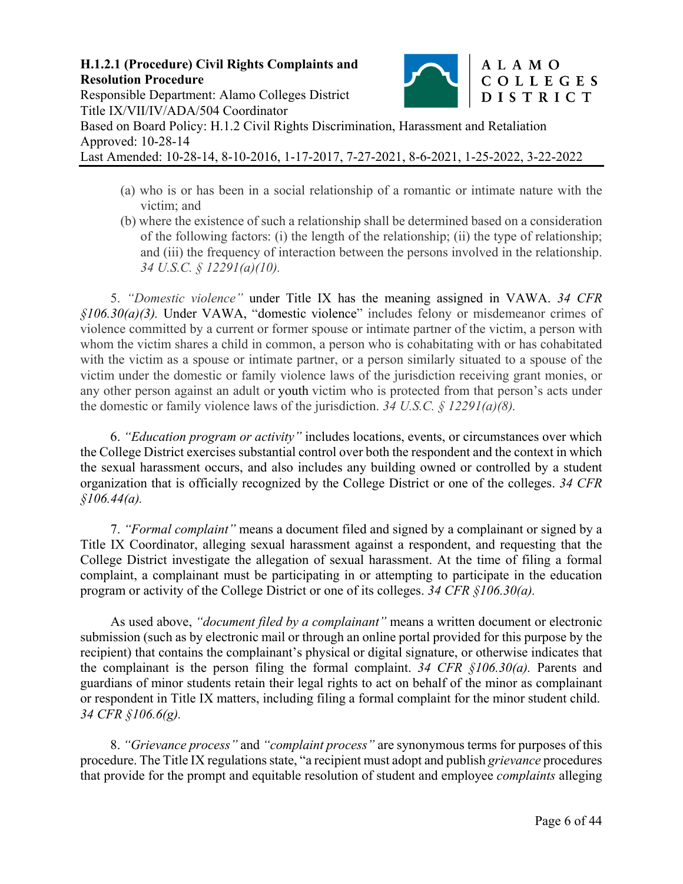

- (a) who is or has been in a social relationship of a romantic or intimate nature with the victim; and
- (b) where the existence of such a relationship shall be determined based on a consideration of the following factors: (i) the length of the relationship; (ii) the type of relationship; and (iii) the frequency of interaction between the persons involved in the relationship. *34 U.S.C. § 12291(a)(10).*

5. *"Domestic violence"* under Title IX has the meaning assigned in VAWA. *34 CFR §106.30(a)(3).* Under VAWA, "domestic violence" includes felony or misdemeanor crimes of violence committed by a current or former spouse or intimate partner of the victim, a person with whom the victim shares a child in common, a person who is cohabitating with or has cohabitated with the victim as a spouse or intimate partner, or a person similarly situated to a spouse of the victim under the domestic or family violence laws of the jurisdiction receiving grant monies, or any other person against an adult or youth victim who is protected from that person's acts under the domestic or family violence laws of the jurisdiction. *34 U.S.C. § 12291(a)(8).*

6. *"Education program or activity"* includes locations, events, or circumstances over which the College District exercises substantial control over both the respondent and the context in which the sexual harassment occurs, and also includes any building owned or controlled by a student organization that is officially recognized by the College District or one of the colleges. *34 CFR §106.44(a).*

7. *"Formal complaint"* means a document filed and signed by a complainant or signed by a Title IX Coordinator, alleging sexual harassment against a respondent, and requesting that the College District investigate the allegation of sexual harassment. At the time of filing a formal complaint, a complainant must be participating in or attempting to participate in the education program or activity of the College District or one of its colleges. *34 CFR §106.30(a).* 

As used above, *"document filed by a complainant"* means a written document or electronic submission (such as by electronic mail or through an online portal provided for this purpose by the recipient) that contains the complainant's physical or digital signature, or otherwise indicates that the complainant is the person filing the formal complaint. *34 CFR §106.30(a).* Parents and guardians of minor students retain their legal rights to act on behalf of the minor as complainant or respondent in Title IX matters, including filing a formal complaint for the minor student child. *34 CFR §106.6(g).* 

8. *"Grievance process"* and *"complaint process"* are synonymous terms for purposes of this procedure. The Title IX regulations state, "a recipient must adopt and publish *grievance* procedures that provide for the prompt and equitable resolution of student and employee *complaints* alleging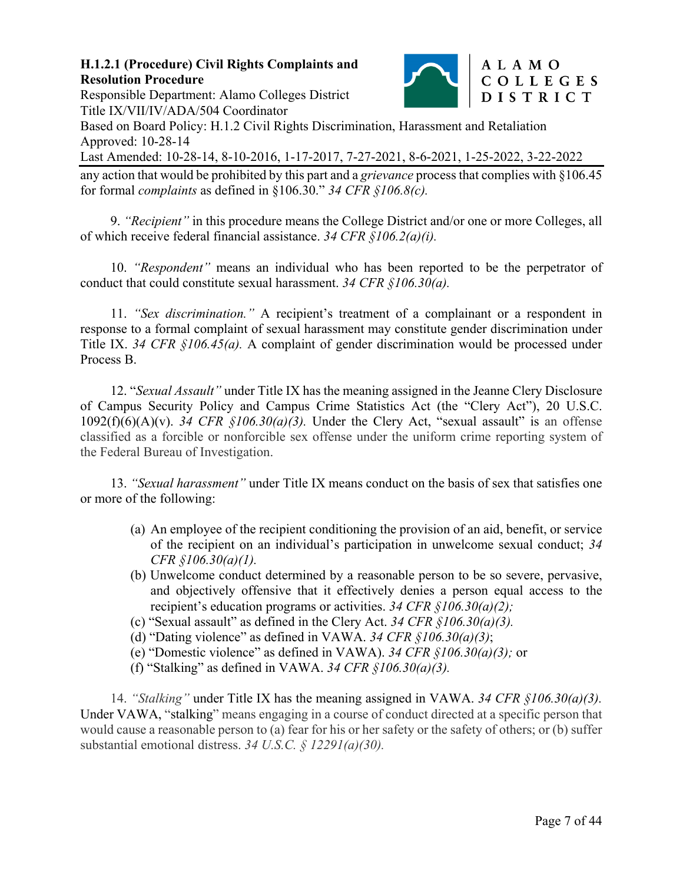

# Responsible Department: Alamo Colleges District Title IX/VII/IV/ADA/504 Coordinator

Based on Board Policy: H.1.2 Civil Rights Discrimination, Harassment and Retaliation Approved: 10-28-14

Last Amended: 10-28-14, 8-10-2016, 1-17-2017, 7-27-2021, 8-6-2021, 1-25-2022, 3-22-2022

any action that would be prohibited by this part and a *grievance* process that complies with §106.45 for formal *complaints* as defined in §106.30." *34 CFR §106.8(c).*

9. *"Recipient"* in this procedure means the College District and/or one or more Colleges, all of which receive federal financial assistance. *34 CFR §106.2(a)(i).*

10. *"Respondent"* means an individual who has been reported to be the perpetrator of conduct that could constitute sexual harassment. *34 CFR §106.30(a).* 

11. *"Sex discrimination."* A recipient's treatment of a complainant or a respondent in response to a formal complaint of sexual harassment may constitute gender discrimination under Title IX. *34 CFR §106.45(a).* A complaint of gender discrimination would be processed under Process B.

12. "*Sexual Assault"* under Title IX has the meaning assigned in the Jeanne Clery Disclosure of Campus Security Policy and Campus Crime Statistics Act (the "Clery Act"), 20 U.S.C.  $1092(f)(6)(A)(v)$ . 34 CFR  $$106.30(a)(3)$ . Under the Clery Act, "sexual assault" is an offense classified as a forcible or nonforcible sex offense under the uniform crime reporting system of the Federal Bureau of Investigation.

13. *"Sexual harassment"* under Title IX means conduct on the basis of sex that satisfies one or more of the following:

- (a) An employee of the recipient conditioning the provision of an aid, benefit, or service of the recipient on an individual's participation in unwelcome sexual conduct; *34 CFR §106.30(a)(1).*
- (b) Unwelcome conduct determined by a reasonable person to be so severe, pervasive, and objectively offensive that it effectively denies a person equal access to the recipient's education programs or activities. *34 CFR §106.30(a)(2);*
- (c) "Sexual assault" as defined in the Clery Act. *34 CFR §106.30(a)(3).*
- (d) "Dating violence" as defined in VAWA. *34 CFR §106.30(a)(3)*;
- (e) "Domestic violence" as defined in VAWA). *34 CFR §106.30(a)(3);* or
- (f) "Stalking" as defined in VAWA. *34 CFR §106.30(a)(3).*

14. *"Stalking"* under Title IX has the meaning assigned in VAWA. *34 CFR §106.30(a)(3).*  Under VAWA, "stalking" means engaging in a course of conduct directed at a specific person that would cause a reasonable person to (a) fear for his or her safety or the safety of others; or (b) suffer substantial emotional distress. *34 U.S.C. § 12291(a)(30).*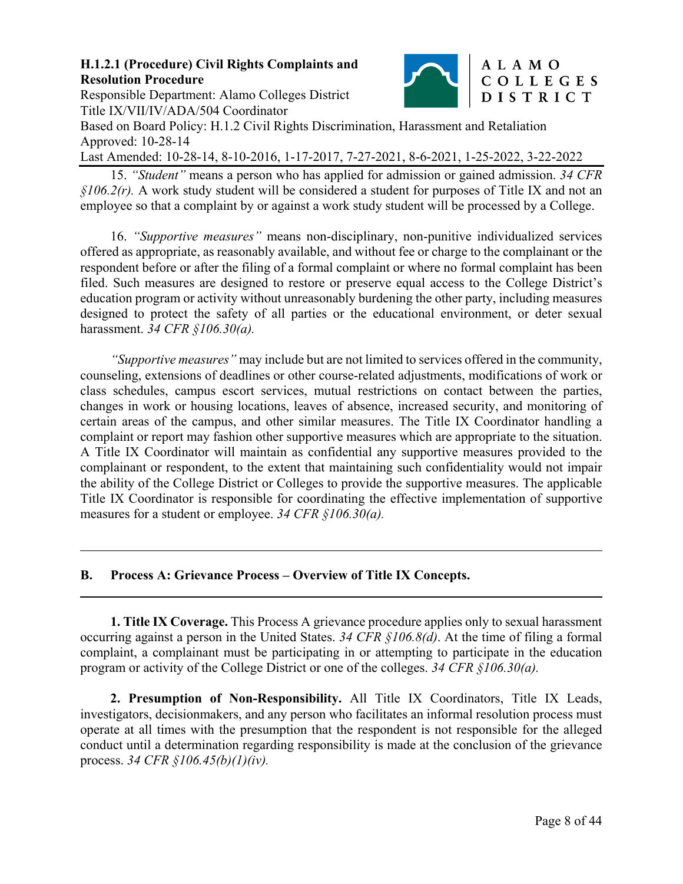

#### Responsible Department: Alamo Colleges District Title IX/VII/IV/ADA/504 Coordinator Based on Board Policy: H.1.2 Civil Rights Discrimination, Harassment and Retaliation

Approved: 10-28-14

Last Amended: 10-28-14, 8-10-2016, 1-17-2017, 7-27-2021, 8-6-2021, 1-25-2022, 3-22-2022 15. *"Student"* means a person who has applied for admission or gained admission. *34 CFR* 

*§106.2(r).* A work study student will be considered a student for purposes of Title IX and not an employee so that a complaint by or against a work study student will be processed by a College.

16. *"Supportive measures"* means non-disciplinary, non-punitive individualized services offered as appropriate, as reasonably available, and without fee or charge to the complainant or the respondent before or after the filing of a formal complaint or where no formal complaint has been filed. Such measures are designed to restore or preserve equal access to the College District's education program or activity without unreasonably burdening the other party, including measures designed to protect the safety of all parties or the educational environment, or deter sexual harassment. *34 CFR §106.30(a).* 

*"Supportive measures"* may include but are not limited to services offered in the community, counseling, extensions of deadlines or other course-related adjustments, modifications of work or class schedules, campus escort services, mutual restrictions on contact between the parties, changes in work or housing locations, leaves of absence, increased security, and monitoring of certain areas of the campus, and other similar measures. The Title IX Coordinator handling a complaint or report may fashion other supportive measures which are appropriate to the situation. A Title IX Coordinator will maintain as confidential any supportive measures provided to the complainant or respondent, to the extent that maintaining such confidentiality would not impair the ability of the College District or Colleges to provide the supportive measures. The applicable Title IX Coordinator is responsible for coordinating the effective implementation of supportive measures for a student or employee. *34 CFR §106.30(a).* 

### **B. Process A: Grievance Process – Overview of Title IX Concepts.**

l

 $\overline{a}$ 

**1. Title IX Coverage.** This Process A grievance procedure applies only to sexual harassment occurring against a person in the United States. *34 CFR §106.8(d)*. At the time of filing a formal complaint, a complainant must be participating in or attempting to participate in the education program or activity of the College District or one of the colleges. *34 CFR §106.30(a).* 

**2. Presumption of Non-Responsibility.** All Title IX Coordinators, Title IX Leads, investigators, decisionmakers, and any person who facilitates an informal resolution process must operate at all times with the presumption that the respondent is not responsible for the alleged conduct until a determination regarding responsibility is made at the conclusion of the grievance process. *34 CFR §106.45(b)(1)(iv).*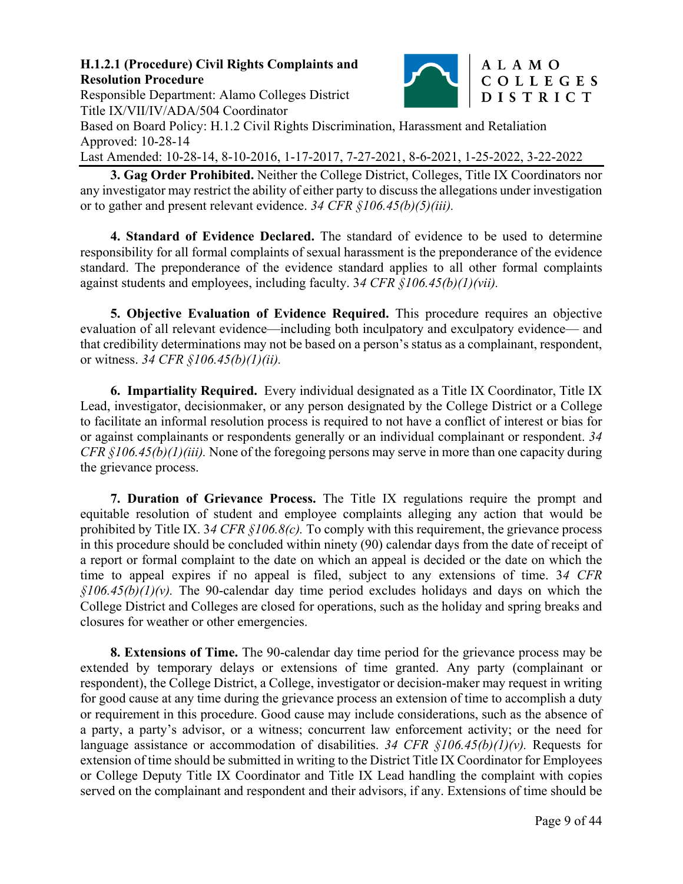

# Responsible Department: Alamo Colleges District Title IX/VII/IV/ADA/504 Coordinator

Based on Board Policy: H.1.2 Civil Rights Discrimination, Harassment and Retaliation Approved: 10-28-14

Last Amended: 10-28-14, 8-10-2016, 1-17-2017, 7-27-2021, 8-6-2021, 1-25-2022, 3-22-2022

**3. Gag Order Prohibited.** Neither the College District, Colleges, Title IX Coordinators nor any investigator may restrict the ability of either party to discuss the allegations under investigation or to gather and present relevant evidence. *34 CFR §106.45(b)(5)(iii).* 

**4. Standard of Evidence Declared.** The standard of evidence to be used to determine responsibility for all formal complaints of sexual harassment is the preponderance of the evidence standard. The preponderance of the evidence standard applies to all other formal complaints against students and employees, including faculty. 3*4 CFR §106.45(b)(1)(vii).*

**5. Objective Evaluation of Evidence Required.** This procedure requires an objective evaluation of all relevant evidence—including both inculpatory and exculpatory evidence— and that credibility determinations may not be based on a person's status as a complainant, respondent, or witness. *34 CFR §106.45(b)(1)(ii).* 

**6. Impartiality Required.** Every individual designated as a Title IX Coordinator, Title IX Lead, investigator, decisionmaker, or any person designated by the College District or a College to facilitate an informal resolution process is required to not have a conflict of interest or bias for or against complainants or respondents generally or an individual complainant or respondent. *34 CFR §106.45(b)(1)(iii).* None of the foregoing persons may serve in more than one capacity during the grievance process.

**7. Duration of Grievance Process.** The Title IX regulations require the prompt and equitable resolution of student and employee complaints alleging any action that would be prohibited by Title IX. 3*4 CFR §106.8(c).* To comply with this requirement, the grievance process in this procedure should be concluded within ninety (90) calendar days from the date of receipt of a report or formal complaint to the date on which an appeal is decided or the date on which the time to appeal expires if no appeal is filed, subject to any extensions of time. 3*4 CFR §106.45(b)(1)(v).* The 90-calendar day time period excludes holidays and days on which the College District and Colleges are closed for operations, such as the holiday and spring breaks and closures for weather or other emergencies.

**8. Extensions of Time.** The 90-calendar day time period for the grievance process may be extended by temporary delays or extensions of time granted. Any party (complainant or respondent), the College District, a College, investigator or decision-maker may request in writing for good cause at any time during the grievance process an extension of time to accomplish a duty or requirement in this procedure. Good cause may include considerations, such as the absence of a party, a party's advisor, or a witness; concurrent law enforcement activity; or the need for language assistance or accommodation of disabilities. *34 CFR §106.45(b)(1)(v).* Requests for extension of time should be submitted in writing to the District Title IX Coordinator for Employees or College Deputy Title IX Coordinator and Title IX Lead handling the complaint with copies served on the complainant and respondent and their advisors, if any. Extensions of time should be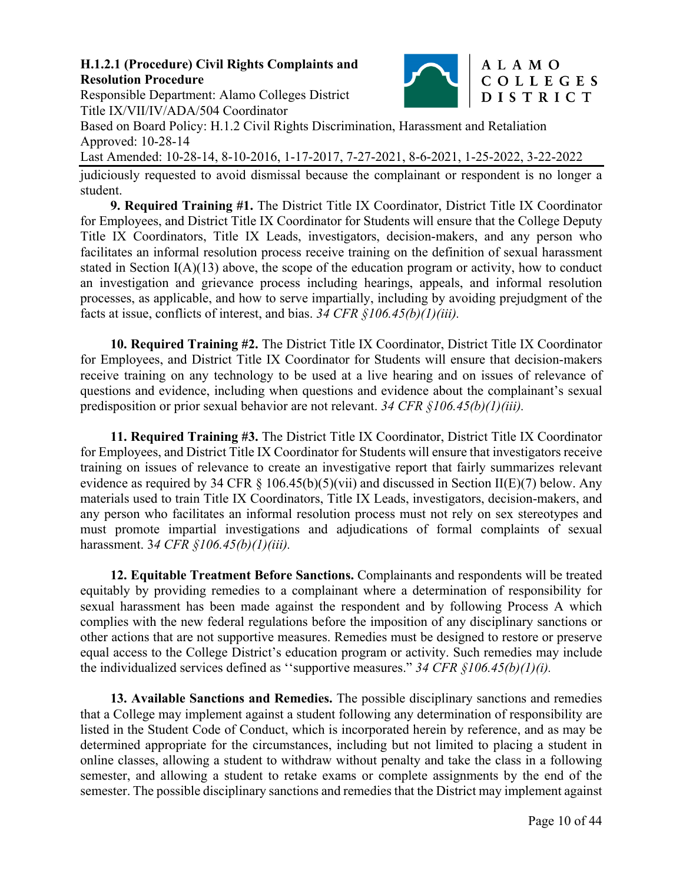

# Responsible Department: Alamo Colleges District Title IX/VII/IV/ADA/504 Coordinator

Based on Board Policy: H.1.2 Civil Rights Discrimination, Harassment and Retaliation Approved: 10-28-14

Last Amended: 10-28-14, 8-10-2016, 1-17-2017, 7-27-2021, 8-6-2021, 1-25-2022, 3-22-2022

judiciously requested to avoid dismissal because the complainant or respondent is no longer a student.

**9. Required Training #1.** The District Title IX Coordinator, District Title IX Coordinator for Employees, and District Title IX Coordinator for Students will ensure that the College Deputy Title IX Coordinators, Title IX Leads, investigators, decision-makers, and any person who facilitates an informal resolution process receive training on the definition of sexual harassment stated in Section I(A)(13) above, the scope of the education program or activity, how to conduct an investigation and grievance process including hearings, appeals, and informal resolution processes, as applicable, and how to serve impartially, including by avoiding prejudgment of the facts at issue, conflicts of interest, and bias. *34 CFR §106.45(b)(1)(iii).*

**10. Required Training #2.** The District Title IX Coordinator, District Title IX Coordinator for Employees, and District Title IX Coordinator for Students will ensure that decision-makers receive training on any technology to be used at a live hearing and on issues of relevance of questions and evidence, including when questions and evidence about the complainant's sexual predisposition or prior sexual behavior are not relevant. *34 CFR §106.45(b)(1)(iii).*

**11. Required Training #3.** The District Title IX Coordinator, District Title IX Coordinator for Employees, and District Title IX Coordinator for Students will ensure that investigators receive training on issues of relevance to create an investigative report that fairly summarizes relevant evidence as required by 34 CFR § 106.45(b)(5)(vii) and discussed in Section II(E)(7) below. Any materials used to train Title IX Coordinators, Title IX Leads, investigators, decision-makers, and any person who facilitates an informal resolution process must not rely on sex stereotypes and must promote impartial investigations and adjudications of formal complaints of sexual harassment. 3*4 CFR §106.45(b)(1)(iii).* 

**12. Equitable Treatment Before Sanctions.** Complainants and respondents will be treated equitably by providing remedies to a complainant where a determination of responsibility for sexual harassment has been made against the respondent and by following Process A which complies with the new federal regulations before the imposition of any disciplinary sanctions or other actions that are not supportive measures. Remedies must be designed to restore or preserve equal access to the College District's education program or activity. Such remedies may include the individualized services defined as ''supportive measures." *34 CFR §106.45(b)(1)(i).* 

**13. Available Sanctions and Remedies.** The possible disciplinary sanctions and remedies that a College may implement against a student following any determination of responsibility are listed in the Student Code of Conduct, which is incorporated herein by reference, and as may be determined appropriate for the circumstances, including but not limited to placing a student in online classes, allowing a student to withdraw without penalty and take the class in a following semester, and allowing a student to retake exams or complete assignments by the end of the semester. The possible disciplinary sanctions and remedies that the District may implement against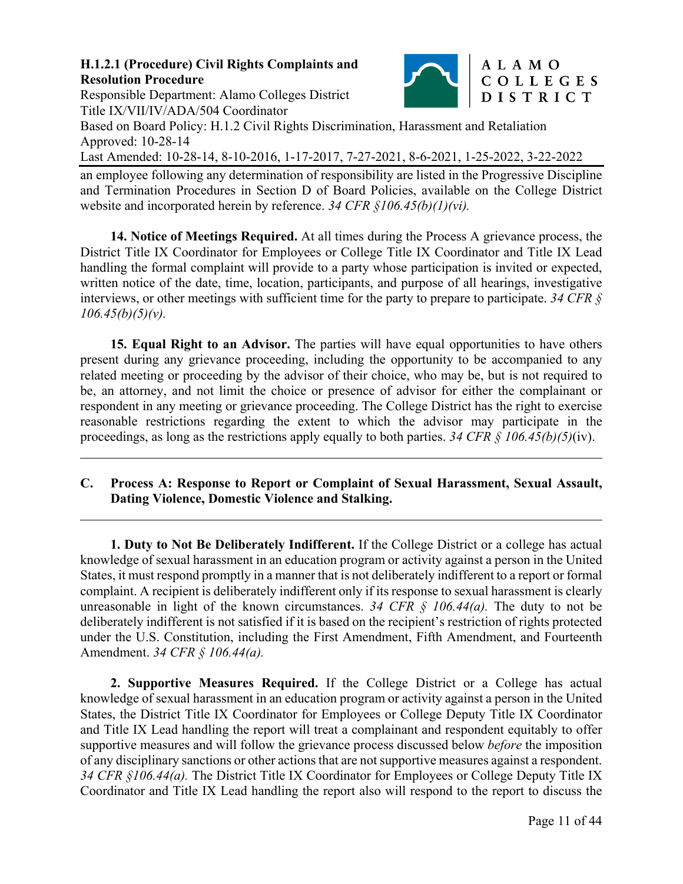

# Responsible Department: Alamo Colleges District Title IX/VII/IV/ADA/504 Coordinator

 $\overline{a}$ 

 $\overline{a}$ 

Based on Board Policy: H.1.2 Civil Rights Discrimination, Harassment and Retaliation Approved: 10-28-14

Last Amended: 10-28-14, 8-10-2016, 1-17-2017, 7-27-2021, 8-6-2021, 1-25-2022, 3-22-2022

an employee following any determination of responsibility are listed in the Progressive Discipline and Termination Procedures in Section D of Board Policies, available on the College District website and incorporated herein by reference. *34 CFR §106.45(b)(1)(vi).*

**14. Notice of Meetings Required.** At all times during the Process A grievance process, the District Title IX Coordinator for Employees or College Title IX Coordinator and Title IX Lead handling the formal complaint will provide to a party whose participation is invited or expected, written notice of the date, time, location, participants, and purpose of all hearings, investigative interviews, or other meetings with sufficient time for the party to prepare to participate. *34 CFR § 106.45(b)(5)(v).* 

**15. Equal Right to an Advisor.** The parties will have equal opportunities to have others present during any grievance proceeding, including the opportunity to be accompanied to any related meeting or proceeding by the advisor of their choice, who may be, but is not required to be, an attorney, and not limit the choice or presence of advisor for either the complainant or respondent in any meeting or grievance proceeding. The College District has the right to exercise reasonable restrictions regarding the extent to which the advisor may participate in the proceedings, as long as the restrictions apply equally to both parties. *34 CFR § 106.45(b)(5)*(iv).

# **C. Process A: Response to Report or Complaint of Sexual Harassment, Sexual Assault, Dating Violence, Domestic Violence and Stalking.**

**1. Duty to Not Be Deliberately Indifferent.** If the College District or a college has actual knowledge of sexual harassment in an education program or activity against a person in the United States, it must respond promptly in a manner that is not deliberately indifferent to a report or formal complaint. A recipient is deliberately indifferent only if its response to sexual harassment is clearly unreasonable in light of the known circumstances. *34 CFR § 106.44(a).* The duty to not be deliberately indifferent is not satisfied if it is based on the recipient's restriction of rights protected under the U.S. Constitution, including the First Amendment, Fifth Amendment, and Fourteenth Amendment. *34 CFR § 106.44(a).*

**2. Supportive Measures Required.** If the College District or a College has actual knowledge of sexual harassment in an education program or activity against a person in the United States, the District Title IX Coordinator for Employees or College Deputy Title IX Coordinator and Title IX Lead handling the report will treat a complainant and respondent equitably to offer supportive measures and will follow the grievance process discussed below *before* the imposition of any disciplinary sanctions or other actions that are not supportive measures against a respondent. *34 CFR §106.44(a).* The District Title IX Coordinator for Employees or College Deputy Title IX Coordinator and Title IX Lead handling the report also will respond to the report to discuss the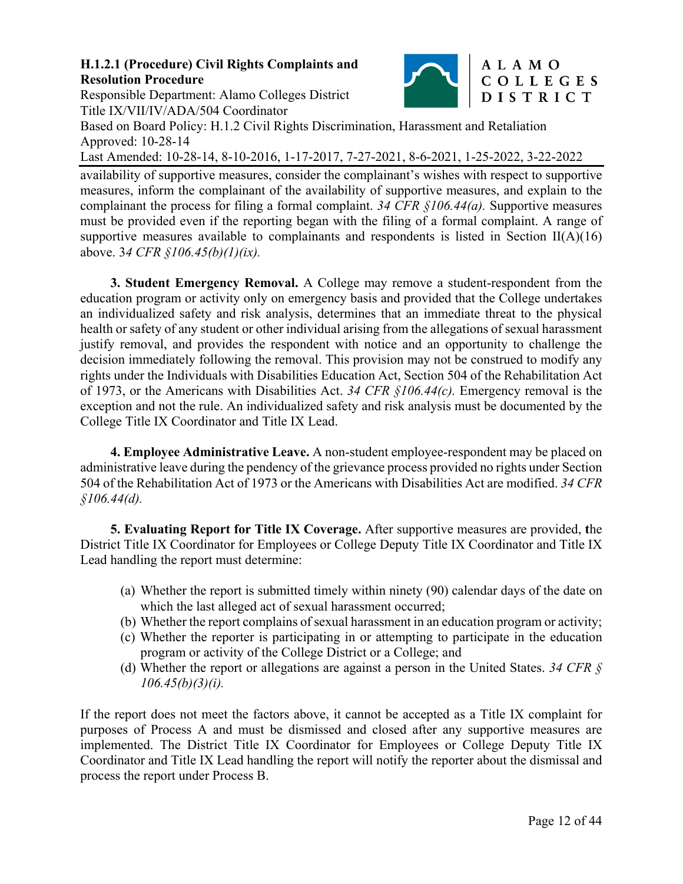

# Responsible Department: Alamo Colleges District Title IX/VII/IV/ADA/504 Coordinator

Based on Board Policy: H.1.2 Civil Rights Discrimination, Harassment and Retaliation Approved: 10-28-14

Last Amended: 10-28-14, 8-10-2016, 1-17-2017, 7-27-2021, 8-6-2021, 1-25-2022, 3-22-2022

availability of supportive measures, consider the complainant's wishes with respect to supportive measures, inform the complainant of the availability of supportive measures, and explain to the complainant the process for filing a formal complaint. *34 CFR §106.44(a).* Supportive measures must be provided even if the reporting began with the filing of a formal complaint. A range of supportive measures available to complainants and respondents is listed in Section II( $A$ )(16) above. 3*4 CFR §106.45(b)(1)(ix).* 

**3. Student Emergency Removal.** A College may remove a student-respondent from the education program or activity only on emergency basis and provided that the College undertakes an individualized safety and risk analysis, determines that an immediate threat to the physical health or safety of any student or other individual arising from the allegations of sexual harassment justify removal, and provides the respondent with notice and an opportunity to challenge the decision immediately following the removal. This provision may not be construed to modify any rights under the Individuals with Disabilities Education Act, Section 504 of the Rehabilitation Act of 1973, or the Americans with Disabilities Act. *34 CFR §106.44(c).* Emergency removal is the exception and not the rule. An individualized safety and risk analysis must be documented by the College Title IX Coordinator and Title IX Lead.

**4. Employee Administrative Leave.** A non-student employee-respondent may be placed on administrative leave during the pendency of the grievance process provided no rights under Section 504 of the Rehabilitation Act of 1973 or the Americans with Disabilities Act are modified. *34 CFR §106.44(d).* 

**5. Evaluating Report for Title IX Coverage.** After supportive measures are provided, **t**he District Title IX Coordinator for Employees or College Deputy Title IX Coordinator and Title IX Lead handling the report must determine:

- (a) Whether the report is submitted timely within ninety (90) calendar days of the date on which the last alleged act of sexual harassment occurred;
- (b) Whether the report complains of sexual harassment in an education program or activity;
- (c) Whether the reporter is participating in or attempting to participate in the education program or activity of the College District or a College; and
- (d) Whether the report or allegations are against a person in the United States. *34 CFR § 106.45(b)(3)(i).*

If the report does not meet the factors above, it cannot be accepted as a Title IX complaint for purposes of Process A and must be dismissed and closed after any supportive measures are implemented. The District Title IX Coordinator for Employees or College Deputy Title IX Coordinator and Title IX Lead handling the report will notify the reporter about the dismissal and process the report under Process B.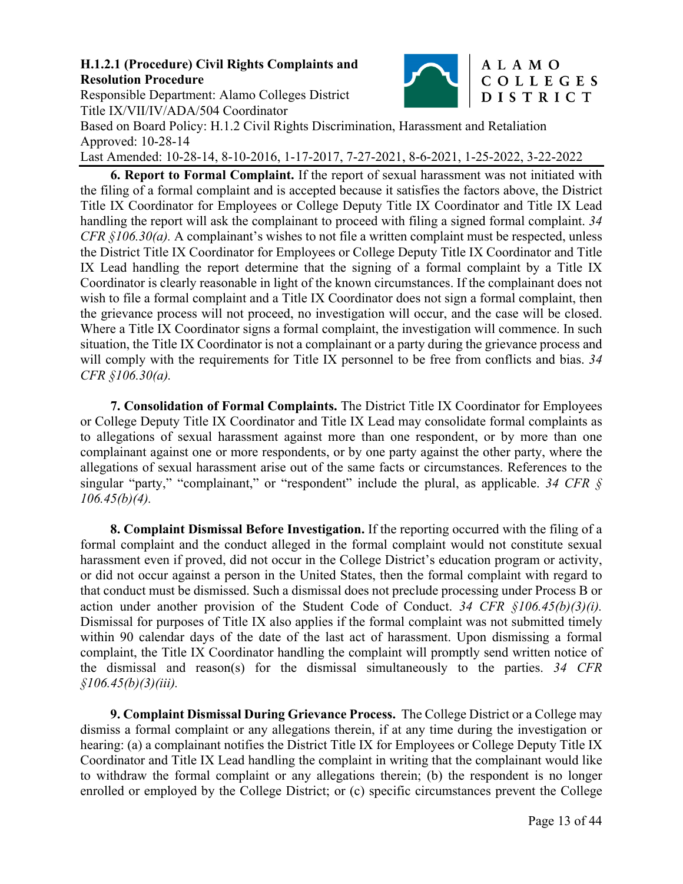#### **H.1.2.1 (Procedure) Civil Rights Complaints and Resolution Procedure**  Responsible Department: Alamo Colleges District



# ALAMO COLLEGES DISTRICT

Title IX/VII/IV/ADA/504 Coordinator Based on Board Policy: H.1.2 Civil Rights Discrimination, Harassment and Retaliation Approved: 10-28-14 Last Amended: 10-28-14, 8-10-2016, 1-17-2017, 7-27-2021, 8-6-2021, 1-25-2022, 3-22-2022

**6. Report to Formal Complaint.** If the report of sexual harassment was not initiated with the filing of a formal complaint and is accepted because it satisfies the factors above, the District Title IX Coordinator for Employees or College Deputy Title IX Coordinator and Title IX Lead handling the report will ask the complainant to proceed with filing a signed formal complaint. *34 CFR §106.30(a).* A complainant's wishes to not file a written complaint must be respected, unless the District Title IX Coordinator for Employees or College Deputy Title IX Coordinator and Title IX Lead handling the report determine that the signing of a formal complaint by a Title IX Coordinator is clearly reasonable in light of the known circumstances. If the complainant does not wish to file a formal complaint and a Title IX Coordinator does not sign a formal complaint, then the grievance process will not proceed, no investigation will occur, and the case will be closed. Where a Title IX Coordinator signs a formal complaint, the investigation will commence. In such situation, the Title IX Coordinator is not a complainant or a party during the grievance process and will comply with the requirements for Title IX personnel to be free from conflicts and bias. *34 CFR §106.30(a).* 

**7. Consolidation of Formal Complaints.** The District Title IX Coordinator for Employees or College Deputy Title IX Coordinator and Title IX Lead may consolidate formal complaints as to allegations of sexual harassment against more than one respondent, or by more than one complainant against one or more respondents, or by one party against the other party, where the allegations of sexual harassment arise out of the same facts or circumstances. References to the singular "party," "complainant," or "respondent" include the plural, as applicable. *34 CFR § 106.45(b)(4).* 

**8. Complaint Dismissal Before Investigation.** If the reporting occurred with the filing of a formal complaint and the conduct alleged in the formal complaint would not constitute sexual harassment even if proved, did not occur in the College District's education program or activity, or did not occur against a person in the United States, then the formal complaint with regard to that conduct must be dismissed. Such a dismissal does not preclude processing under Process B or action under another provision of the Student Code of Conduct. *34 CFR §106.45(b)(3)(i).* Dismissal for purposes of Title IX also applies if the formal complaint was not submitted timely within 90 calendar days of the date of the last act of harassment. Upon dismissing a formal complaint, the Title IX Coordinator handling the complaint will promptly send written notice of the dismissal and reason(s) for the dismissal simultaneously to the parties. *34 CFR §106.45(b)(3)(iii).*

**9. Complaint Dismissal During Grievance Process.** The College District or a College may dismiss a formal complaint or any allegations therein, if at any time during the investigation or hearing: (a) a complainant notifies the District Title IX for Employees or College Deputy Title IX Coordinator and Title IX Lead handling the complaint in writing that the complainant would like to withdraw the formal complaint or any allegations therein; (b) the respondent is no longer enrolled or employed by the College District; or (c) specific circumstances prevent the College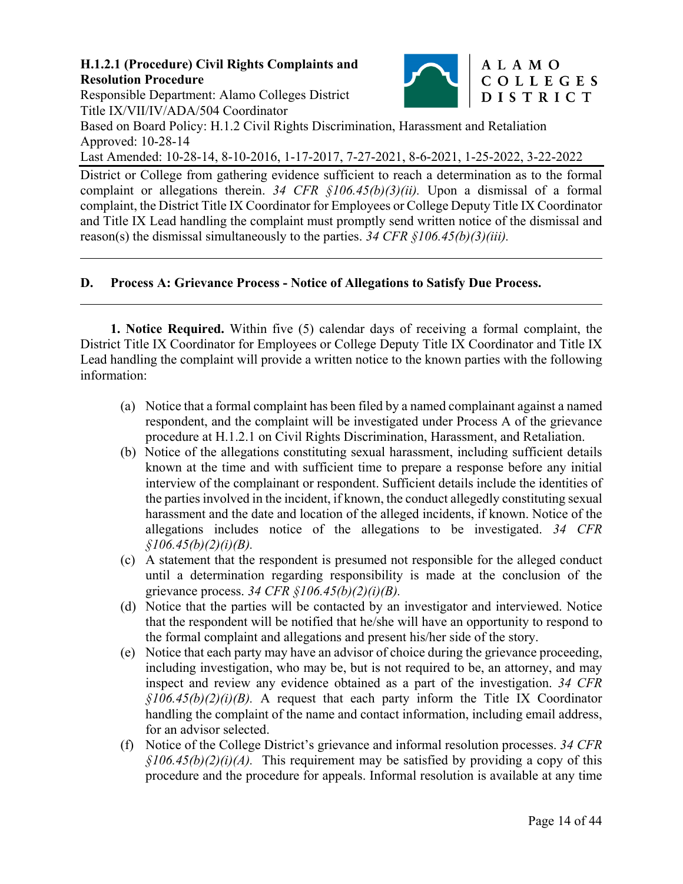Responsible Department: Alamo Colleges District Title IX/VII/IV/ADA/504 Coordinator

l

 $\overline{a}$ 



Based on Board Policy: H.1.2 Civil Rights Discrimination, Harassment and Retaliation Approved: 10-28-14 Last Amended: 10-28-14, 8-10-2016, 1-17-2017, 7-27-2021, 8-6-2021, 1-25-2022, 3-22-2022

District or College from gathering evidence sufficient to reach a determination as to the formal complaint or allegations therein. *34 CFR §106.45(b)(3)(ii).* Upon a dismissal of a formal complaint, the District Title IX Coordinator for Employees or College Deputy Title IX Coordinator and Title IX Lead handling the complaint must promptly send written notice of the dismissal and reason(s) the dismissal simultaneously to the parties. *34 CFR §106.45(b)(3)(iii).*

# **D. Process A: Grievance Process - Notice of Allegations to Satisfy Due Process.**

**1. Notice Required.** Within five (5) calendar days of receiving a formal complaint, the District Title IX Coordinator for Employees or College Deputy Title IX Coordinator and Title IX Lead handling the complaint will provide a written notice to the known parties with the following information:

- (a) Notice that a formal complaint has been filed by a named complainant against a named respondent, and the complaint will be investigated under Process A of the grievance procedure at H.1.2.1 on Civil Rights Discrimination, Harassment, and Retaliation.
- (b) Notice of the allegations constituting sexual harassment, including sufficient details known at the time and with sufficient time to prepare a response before any initial interview of the complainant or respondent. Sufficient details include the identities of the parties involved in the incident, if known, the conduct allegedly constituting sexual harassment and the date and location of the alleged incidents, if known. Notice of the allegations includes notice of the allegations to be investigated. *34 CFR §106.45(b)(2)(i)(B).*
- (c) A statement that the respondent is presumed not responsible for the alleged conduct until a determination regarding responsibility is made at the conclusion of the grievance process. *34 CFR §106.45(b)(2)(i)(B).*
- (d) Notice that the parties will be contacted by an investigator and interviewed. Notice that the respondent will be notified that he/she will have an opportunity to respond to the formal complaint and allegations and present his/her side of the story.
- (e) Notice that each party may have an advisor of choice during the grievance proceeding, including investigation, who may be, but is not required to be, an attorney, and may inspect and review any evidence obtained as a part of the investigation. *34 CFR §106.45(b)(2)(i)(B).* A request that each party inform the Title IX Coordinator handling the complaint of the name and contact information, including email address, for an advisor selected.
- (f) Notice of the College District's grievance and informal resolution processes. *34 CFR §106.45(b)(2)(i)(A).* This requirement may be satisfied by providing a copy of this procedure and the procedure for appeals. Informal resolution is available at any time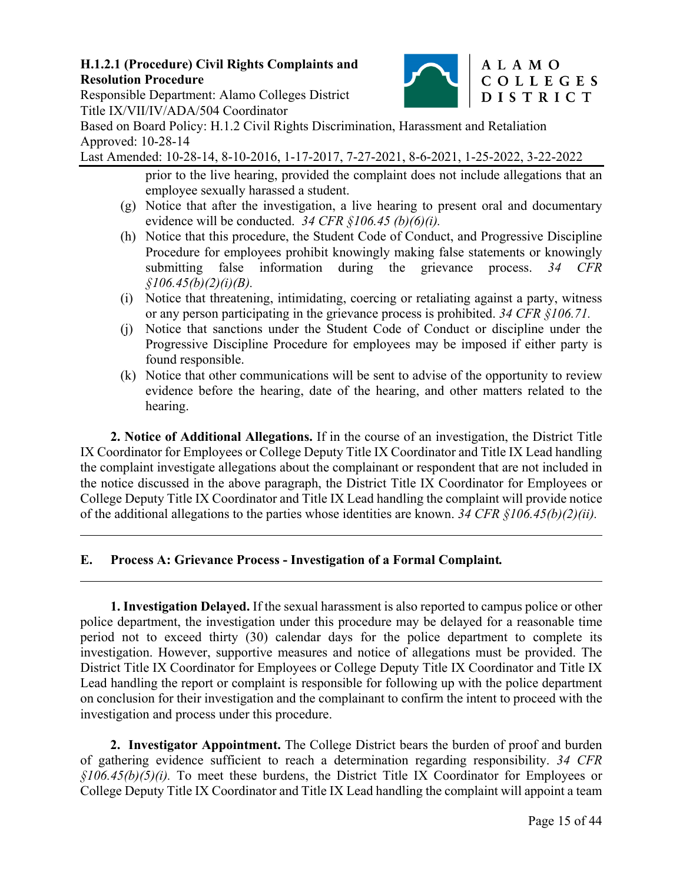

ALAMO

# Responsible Department: Alamo Colleges District Title IX/VII/IV/ADA/504 Coordinator

Based on Board Policy: H.1.2 Civil Rights Discrimination, Harassment and Retaliation Approved: 10-28-14

Last Amended: 10-28-14, 8-10-2016, 1-17-2017, 7-27-2021, 8-6-2021, 1-25-2022, 3-22-2022

prior to the live hearing, provided the complaint does not include allegations that an employee sexually harassed a student.

- (g) Notice that after the investigation, a live hearing to present oral and documentary evidence will be conducted. *34 CFR §106.45 (b)(6)(i).*
- (h) Notice that this procedure, the Student Code of Conduct, and Progressive Discipline Procedure for employees prohibit knowingly making false statements or knowingly submitting false information during the grievance process. *34 CFR §106.45(b)(2)(i)(B).*
- (i) Notice that threatening, intimidating, coercing or retaliating against a party, witness or any person participating in the grievance process is prohibited. *34 CFR §106.71.*
- (j) Notice that sanctions under the Student Code of Conduct or discipline under the Progressive Discipline Procedure for employees may be imposed if either party is found responsible.
- (k) Notice that other communications will be sent to advise of the opportunity to review evidence before the hearing, date of the hearing, and other matters related to the hearing.

**2. Notice of Additional Allegations.** If in the course of an investigation, the District Title IX Coordinator for Employees or College Deputy Title IX Coordinator and Title IX Lead handling the complaint investigate allegations about the complainant or respondent that are not included in the notice discussed in the above paragraph, the District Title IX Coordinator for Employees or College Deputy Title IX Coordinator and Title IX Lead handling the complaint will provide notice of the additional allegations to the parties whose identities are known. *34 CFR §106.45(b)(2)(ii).*

# **E. Process A: Grievance Process - Investigation of a Formal Complaint***.*

 $\overline{a}$ 

l

**1. Investigation Delayed.** If the sexual harassment is also reported to campus police or other police department, the investigation under this procedure may be delayed for a reasonable time period not to exceed thirty (30) calendar days for the police department to complete its investigation. However, supportive measures and notice of allegations must be provided. The District Title IX Coordinator for Employees or College Deputy Title IX Coordinator and Title IX Lead handling the report or complaint is responsible for following up with the police department on conclusion for their investigation and the complainant to confirm the intent to proceed with the investigation and process under this procedure.

**2. Investigator Appointment.** The College District bears the burden of proof and burden of gathering evidence sufficient to reach a determination regarding responsibility. *34 CFR §106.45(b)(5)(i).* To meet these burdens, the District Title IX Coordinator for Employees or College Deputy Title IX Coordinator and Title IX Lead handling the complaint will appoint a team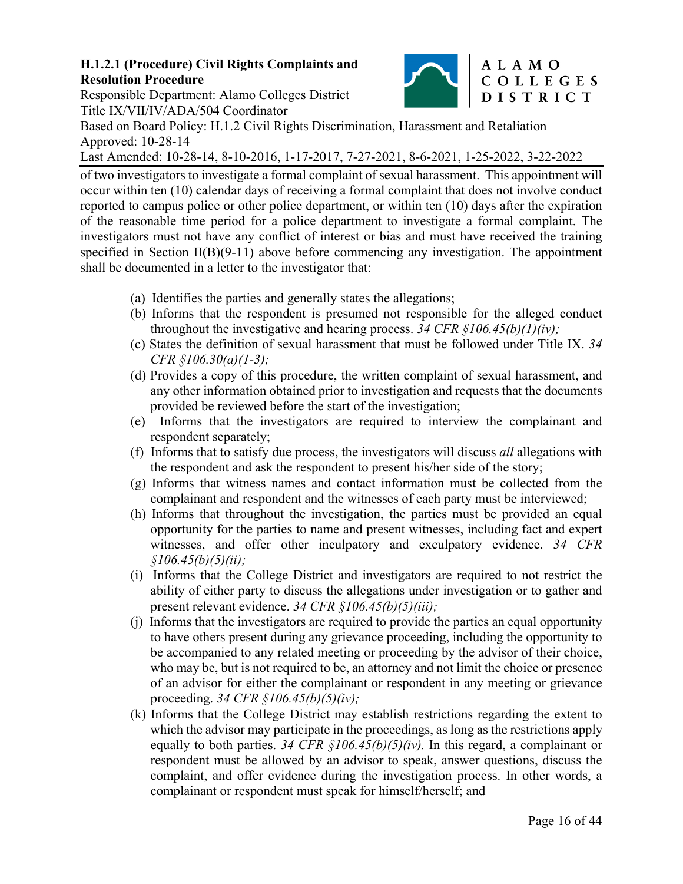

# Responsible Department: Alamo Colleges District Title IX/VII/IV/ADA/504 Coordinator

Based on Board Policy: H.1.2 Civil Rights Discrimination, Harassment and Retaliation Approved: 10-28-14

Last Amended: 10-28-14, 8-10-2016, 1-17-2017, 7-27-2021, 8-6-2021, 1-25-2022, 3-22-2022

of two investigators to investigate a formal complaint of sexual harassment. This appointment will occur within ten (10) calendar days of receiving a formal complaint that does not involve conduct reported to campus police or other police department, or within ten (10) days after the expiration of the reasonable time period for a police department to investigate a formal complaint. The investigators must not have any conflict of interest or bias and must have received the training specified in Section II(B)(9-11) above before commencing any investigation. The appointment shall be documented in a letter to the investigator that:

- (a) Identifies the parties and generally states the allegations;
- (b) Informs that the respondent is presumed not responsible for the alleged conduct throughout the investigative and hearing process. *34 CFR §106.45(b)(1)(iv);*
- (c) States the definition of sexual harassment that must be followed under Title IX. *34 CFR §106.30(a)(1-3);*
- (d) Provides a copy of this procedure, the written complaint of sexual harassment, and any other information obtained prior to investigation and requests that the documents provided be reviewed before the start of the investigation;
- (e) Informs that the investigators are required to interview the complainant and respondent separately;
- (f) Informs that to satisfy due process, the investigators will discuss *all* allegations with the respondent and ask the respondent to present his/her side of the story;
- (g) Informs that witness names and contact information must be collected from the complainant and respondent and the witnesses of each party must be interviewed;
- (h) Informs that throughout the investigation, the parties must be provided an equal opportunity for the parties to name and present witnesses, including fact and expert witnesses, and offer other inculpatory and exculpatory evidence. *34 CFR §106.45(b)(5)(ii);*
- (i) Informs that the College District and investigators are required to not restrict the ability of either party to discuss the allegations under investigation or to gather and present relevant evidence. *34 CFR §106.45(b)(5)(iii);*
- (j) Informs that the investigators are required to provide the parties an equal opportunity to have others present during any grievance proceeding, including the opportunity to be accompanied to any related meeting or proceeding by the advisor of their choice, who may be, but is not required to be, an attorney and not limit the choice or presence of an advisor for either the complainant or respondent in any meeting or grievance proceeding. *34 CFR §106.45(b)(5)(iv);*
- (k) Informs that the College District may establish restrictions regarding the extent to which the advisor may participate in the proceedings, as long as the restrictions apply equally to both parties. *34 CFR §106.45(b)(5)(iv).* In this regard, a complainant or respondent must be allowed by an advisor to speak, answer questions, discuss the complaint, and offer evidence during the investigation process. In other words, a complainant or respondent must speak for himself/herself; and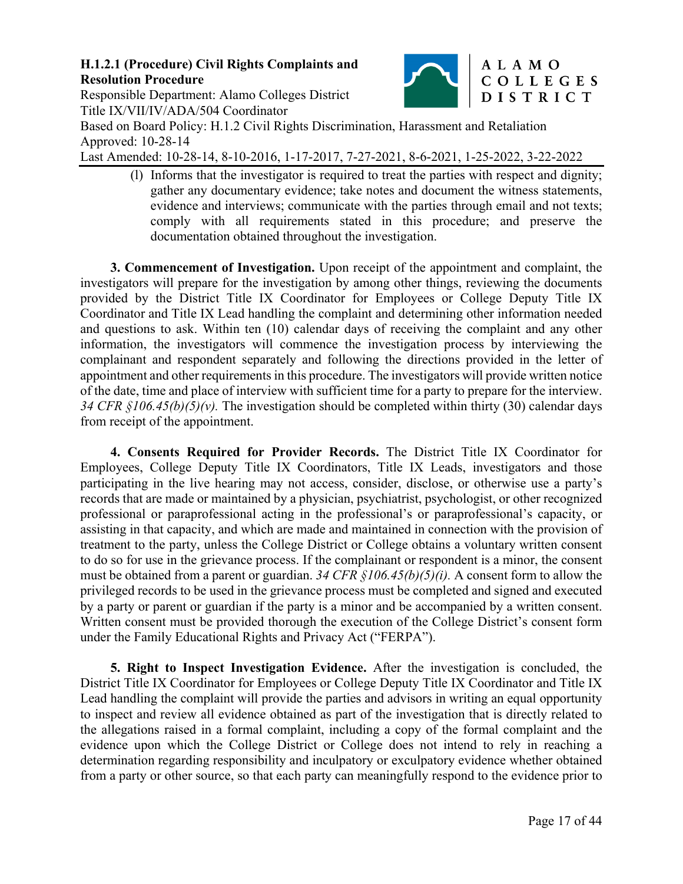

Responsible Department: Alamo Colleges District Title IX/VII/IV/ADA/504 Coordinator Based on Board Policy: H.1.2 Civil Rights Discrimination, Harassment and Retaliation Approved: 10-28-14

Last Amended: 10-28-14, 8-10-2016, 1-17-2017, 7-27-2021, 8-6-2021, 1-25-2022, 3-22-2022

(l) Informs that the investigator is required to treat the parties with respect and dignity; gather any documentary evidence; take notes and document the witness statements, evidence and interviews; communicate with the parties through email and not texts; comply with all requirements stated in this procedure; and preserve the documentation obtained throughout the investigation.

**3. Commencement of Investigation.** Upon receipt of the appointment and complaint, the investigators will prepare for the investigation by among other things, reviewing the documents provided by the District Title IX Coordinator for Employees or College Deputy Title IX Coordinator and Title IX Lead handling the complaint and determining other information needed and questions to ask. Within ten (10) calendar days of receiving the complaint and any other information, the investigators will commence the investigation process by interviewing the complainant and respondent separately and following the directions provided in the letter of appointment and other requirements in this procedure. The investigators will provide written notice of the date, time and place of interview with sufficient time for a party to prepare for the interview. *34 CFR §106.45(b)(5)(v).* The investigation should be completed within thirty (30) calendar days from receipt of the appointment.

**4. Consents Required for Provider Records.** The District Title IX Coordinator for Employees, College Deputy Title IX Coordinators, Title IX Leads, investigators and those participating in the live hearing may not access, consider, disclose, or otherwise use a party's records that are made or maintained by a physician, psychiatrist, psychologist, or other recognized professional or paraprofessional acting in the professional's or paraprofessional's capacity, or assisting in that capacity, and which are made and maintained in connection with the provision of treatment to the party, unless the College District or College obtains a voluntary written consent to do so for use in the grievance process. If the complainant or respondent is a minor, the consent must be obtained from a parent or guardian. *34 CFR §106.45(b)(5)(i).* A consent form to allow the privileged records to be used in the grievance process must be completed and signed and executed by a party or parent or guardian if the party is a minor and be accompanied by a written consent. Written consent must be provided thorough the execution of the College District's consent form under the Family Educational Rights and Privacy Act ("FERPA").

**5. Right to Inspect Investigation Evidence.** After the investigation is concluded, the District Title IX Coordinator for Employees or College Deputy Title IX Coordinator and Title IX Lead handling the complaint will provide the parties and advisors in writing an equal opportunity to inspect and review all evidence obtained as part of the investigation that is directly related to the allegations raised in a formal complaint, including a copy of the formal complaint and the evidence upon which the College District or College does not intend to rely in reaching a determination regarding responsibility and inculpatory or exculpatory evidence whether obtained from a party or other source, so that each party can meaningfully respond to the evidence prior to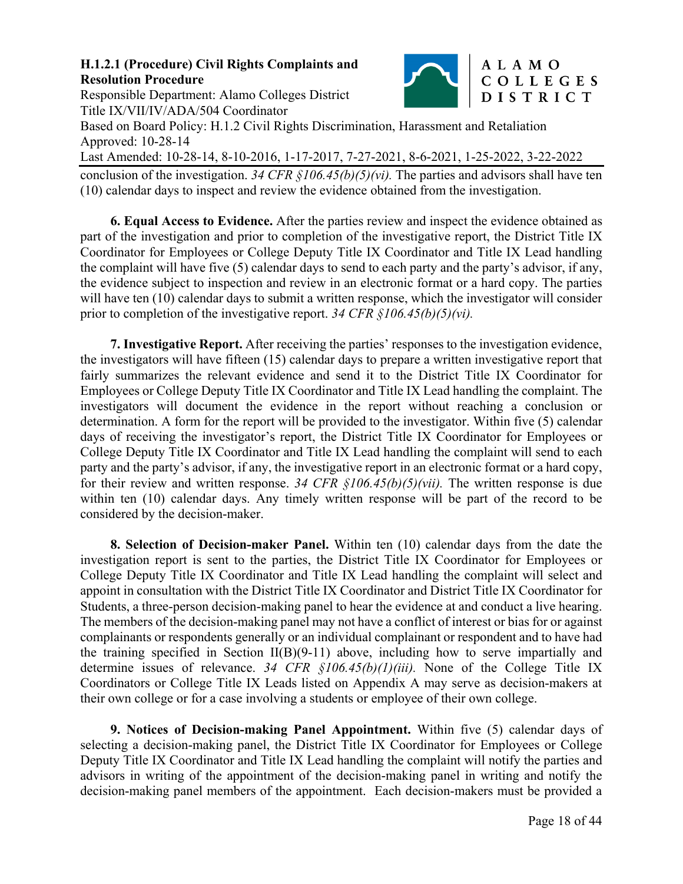

# Responsible Department: Alamo Colleges District Title IX/VII/IV/ADA/504 Coordinator

Based on Board Policy: H.1.2 Civil Rights Discrimination, Harassment and Retaliation Approved: 10-28-14

Last Amended: 10-28-14, 8-10-2016, 1-17-2017, 7-27-2021, 8-6-2021, 1-25-2022, 3-22-2022

conclusion of the investigation. *34 CFR §106.45(b)(5)(vi).* The parties and advisors shall have ten (10) calendar days to inspect and review the evidence obtained from the investigation.

**6. Equal Access to Evidence.** After the parties review and inspect the evidence obtained as part of the investigation and prior to completion of the investigative report, the District Title IX Coordinator for Employees or College Deputy Title IX Coordinator and Title IX Lead handling the complaint will have five (5) calendar days to send to each party and the party's advisor, if any, the evidence subject to inspection and review in an electronic format or a hard copy. The parties will have ten (10) calendar days to submit a written response, which the investigator will consider prior to completion of the investigative report. *34 CFR §106.45(b)(5)(vi).* 

**7. Investigative Report.** After receiving the parties' responses to the investigation evidence, the investigators will have fifteen (15) calendar days to prepare a written investigative report that fairly summarizes the relevant evidence and send it to the District Title IX Coordinator for Employees or College Deputy Title IX Coordinator and Title IX Lead handling the complaint. The investigators will document the evidence in the report without reaching a conclusion or determination. A form for the report will be provided to the investigator. Within five (5) calendar days of receiving the investigator's report, the District Title IX Coordinator for Employees or College Deputy Title IX Coordinator and Title IX Lead handling the complaint will send to each party and the party's advisor, if any, the investigative report in an electronic format or a hard copy, for their review and written response. *34 CFR §106.45(b)(5)(vii).* The written response is due within ten (10) calendar days. Any timely written response will be part of the record to be considered by the decision-maker.

**8. Selection of Decision-maker Panel.** Within ten (10) calendar days from the date the investigation report is sent to the parties, the District Title IX Coordinator for Employees or College Deputy Title IX Coordinator and Title IX Lead handling the complaint will select and appoint in consultation with the District Title IX Coordinator and District Title IX Coordinator for Students, a three-person decision-making panel to hear the evidence at and conduct a live hearing. The members of the decision-making panel may not have a conflict of interest or bias for or against complainants or respondents generally or an individual complainant or respondent and to have had the training specified in Section  $II(B)(9-11)$  above, including how to serve impartially and determine issues of relevance. *34 CFR §106.45(b)(1)(iii).* None of the College Title IX Coordinators or College Title IX Leads listed on Appendix A may serve as decision-makers at their own college or for a case involving a students or employee of their own college.

**9. Notices of Decision-making Panel Appointment.** Within five (5) calendar days of selecting a decision-making panel, the District Title IX Coordinator for Employees or College Deputy Title IX Coordinator and Title IX Lead handling the complaint will notify the parties and advisors in writing of the appointment of the decision-making panel in writing and notify the decision-making panel members of the appointment. Each decision-makers must be provided a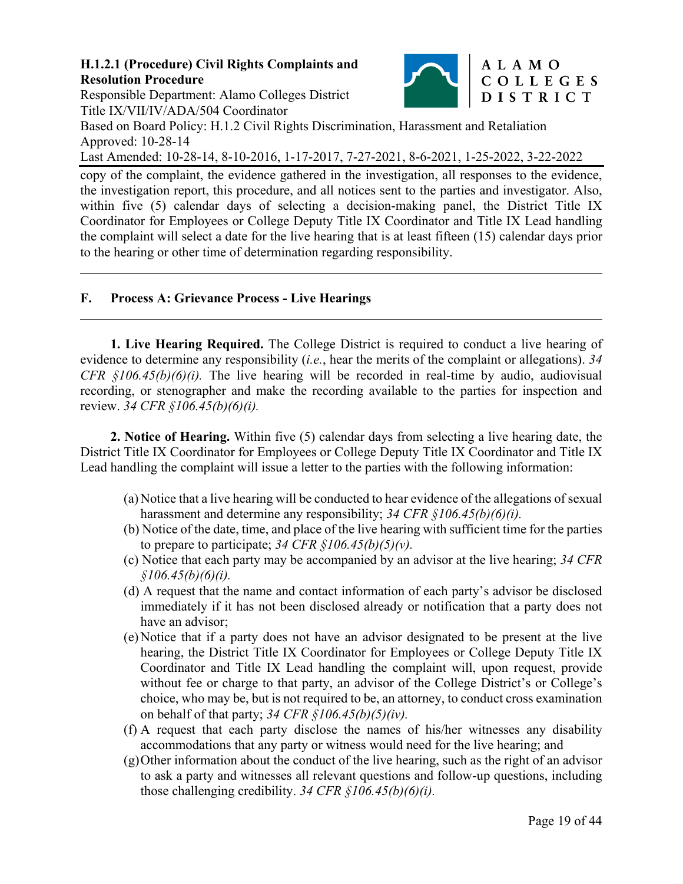

Responsible Department: Alamo Colleges District Title IX/VII/IV/ADA/504 Coordinator

Based on Board Policy: H.1.2 Civil Rights Discrimination, Harassment and Retaliation Approved: 10-28-14

Last Amended: 10-28-14, 8-10-2016, 1-17-2017, 7-27-2021, 8-6-2021, 1-25-2022, 3-22-2022

copy of the complaint, the evidence gathered in the investigation, all responses to the evidence, the investigation report, this procedure, and all notices sent to the parties and investigator. Also, within five (5) calendar days of selecting a decision-making panel, the District Title IX Coordinator for Employees or College Deputy Title IX Coordinator and Title IX Lead handling the complaint will select a date for the live hearing that is at least fifteen (15) calendar days prior to the hearing or other time of determination regarding responsibility.

### **F. Process A: Grievance Process - Live Hearings**

l

**1. Live Hearing Required.** The College District is required to conduct a live hearing of evidence to determine any responsibility (*i.e.*, hear the merits of the complaint or allegations). *34 CFR §106.45(b)(6)(i).* The live hearing will be recorded in real-time by audio, audiovisual recording, or stenographer and make the recording available to the parties for inspection and review. *34 CFR §106.45(b)(6)(i).*

**2. Notice of Hearing.** Within five (5) calendar days from selecting a live hearing date, the District Title IX Coordinator for Employees or College Deputy Title IX Coordinator and Title IX Lead handling the complaint will issue a letter to the parties with the following information:

- (a) Notice that a live hearing will be conducted to hear evidence of the allegations of sexual harassment and determine any responsibility; *34 CFR §106.45(b)(6)(i).*
- (b) Notice of the date, time, and place of the live hearing with sufficient time for the parties to prepare to participate;  $34 \text{ CFR } \frac{6}{9}I06.45(b)(5)(v)$ .
- (c) Notice that each party may be accompanied by an advisor at the live hearing; *34 CFR §106.45(b)(6)(i).*
- (d) A request that the name and contact information of each party's advisor be disclosed immediately if it has not been disclosed already or notification that a party does not have an advisor;
- (e) Notice that if a party does not have an advisor designated to be present at the live hearing, the District Title IX Coordinator for Employees or College Deputy Title IX Coordinator and Title IX Lead handling the complaint will, upon request, provide without fee or charge to that party, an advisor of the College District's or College's choice, who may be, but is not required to be, an attorney, to conduct cross examination on behalf of that party; *34 CFR §106.45(b)(5)(iv).*
- (f) A request that each party disclose the names of his/her witnesses any disability accommodations that any party or witness would need for the live hearing; and
- (g) Other information about the conduct of the live hearing, such as the right of an advisor to ask a party and witnesses all relevant questions and follow-up questions, including those challenging credibility. *34 CFR §106.45(b)(6)(i).*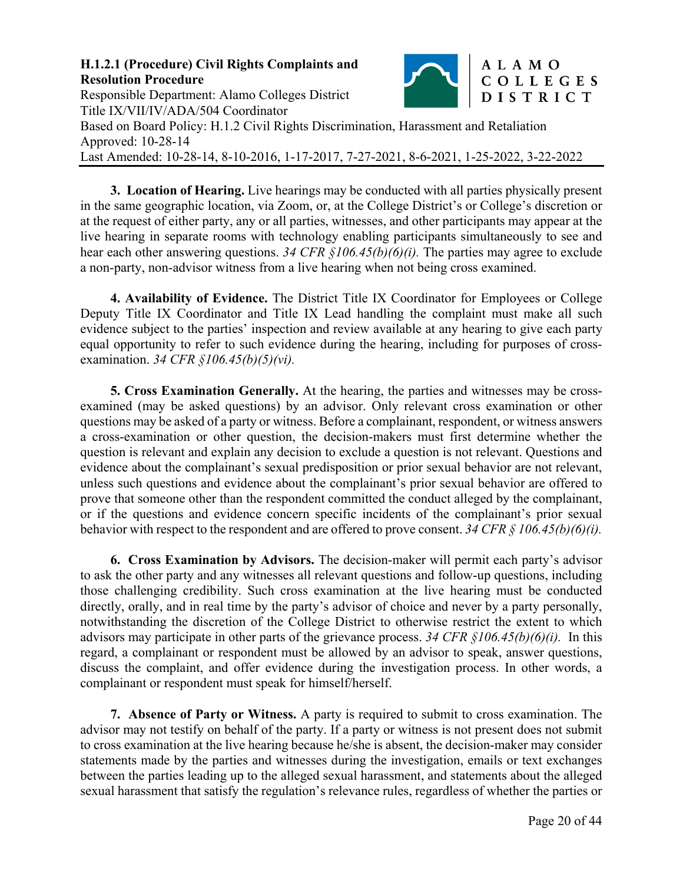

**3. Location of Hearing.** Live hearings may be conducted with all parties physically present in the same geographic location, via Zoom, or, at the College District's or College's discretion or at the request of either party, any or all parties, witnesses, and other participants may appear at the live hearing in separate rooms with technology enabling participants simultaneously to see and hear each other answering questions. *34 CFR §106.45(b)(6)(i).* The parties may agree to exclude a non-party, non-advisor witness from a live hearing when not being cross examined.

**4. Availability of Evidence.** The District Title IX Coordinator for Employees or College Deputy Title IX Coordinator and Title IX Lead handling the complaint must make all such evidence subject to the parties' inspection and review available at any hearing to give each party equal opportunity to refer to such evidence during the hearing, including for purposes of crossexamination. *34 CFR §106.45(b)(5)(vi).* 

**5. Cross Examination Generally.** At the hearing, the parties and witnesses may be crossexamined (may be asked questions) by an advisor. Only relevant cross examination or other questions may be asked of a party or witness. Before a complainant, respondent, or witness answers a cross-examination or other question, the decision-makers must first determine whether the question is relevant and explain any decision to exclude a question is not relevant. Questions and evidence about the complainant's sexual predisposition or prior sexual behavior are not relevant, unless such questions and evidence about the complainant's prior sexual behavior are offered to prove that someone other than the respondent committed the conduct alleged by the complainant, or if the questions and evidence concern specific incidents of the complainant's prior sexual behavior with respect to the respondent and are offered to prove consent. *34 CFR § 106.45(b)(6)(i).*

**6. Cross Examination by Advisors.** The decision-maker will permit each party's advisor to ask the other party and any witnesses all relevant questions and follow-up questions, including those challenging credibility. Such cross examination at the live hearing must be conducted directly, orally, and in real time by the party's advisor of choice and never by a party personally, notwithstanding the discretion of the College District to otherwise restrict the extent to which advisors may participate in other parts of the grievance process. *34 CFR §106.45(b)(6)(i).* In this regard, a complainant or respondent must be allowed by an advisor to speak, answer questions, discuss the complaint, and offer evidence during the investigation process. In other words, a complainant or respondent must speak for himself/herself.

**7. Absence of Party or Witness.** A party is required to submit to cross examination. The advisor may not testify on behalf of the party. If a party or witness is not present does not submit to cross examination at the live hearing because he/she is absent, the decision-maker may consider statements made by the parties and witnesses during the investigation, emails or text exchanges between the parties leading up to the alleged sexual harassment, and statements about the alleged sexual harassment that satisfy the regulation's relevance rules, regardless of whether the parties or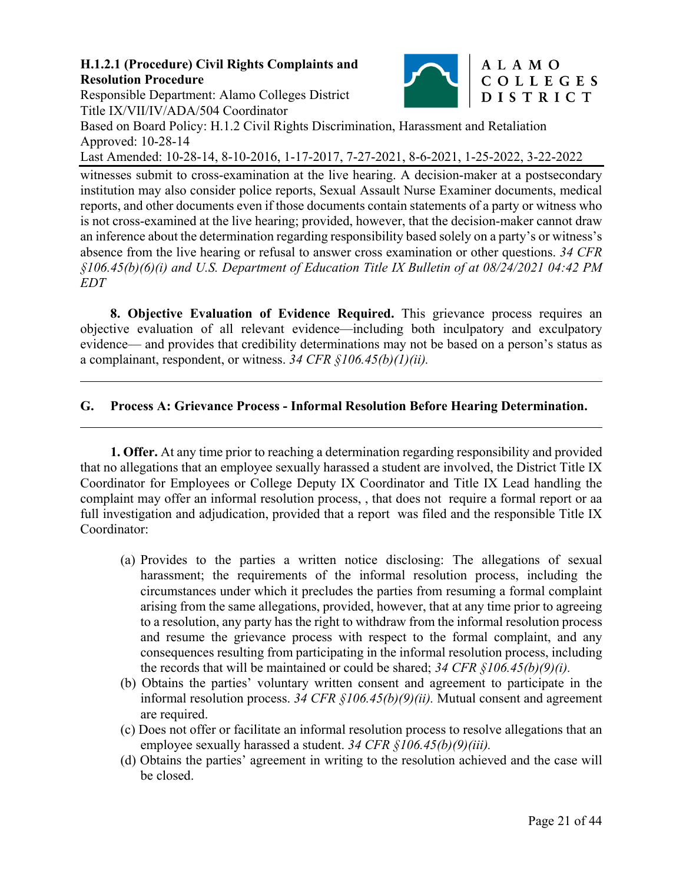Responsible Department: Alamo Colleges District Title IX/VII/IV/ADA/504 Coordinator



# Based on Board Policy: H.1.2 Civil Rights Discrimination, Harassment and Retaliation Approved: 10-28-14 Last Amended: 10-28-14, 8-10-2016, 1-17-2017, 7-27-2021, 8-6-2021, 1-25-2022, 3-22-2022

witnesses submit to cross-examination at the live hearing. A decision-maker at a postsecondary institution may also consider police reports, Sexual Assault Nurse Examiner documents, medical reports, and other documents even if those documents contain statements of a party or witness who is not cross-examined at the live hearing; provided, however, that the decision-maker cannot draw an inference about the determination regarding responsibility based solely on a party's or witness's absence from the live hearing or refusal to answer cross examination or other questions. *34 CFR §106.45(b)(6)(i) and U.S. Department of Education Title IX Bulletin of at 08/24/2021 04:42 PM* 

*EDT* 

 $\overline{a}$ 

l

**8. Objective Evaluation of Evidence Required.** This grievance process requires an objective evaluation of all relevant evidence—including both inculpatory and exculpatory evidence— and provides that credibility determinations may not be based on a person's status as a complainant, respondent, or witness. *34 CFR §106.45(b)(1)(ii).*

# **G. Process A: Grievance Process - Informal Resolution Before Hearing Determination.**

**1. Offer.** At any time prior to reaching a determination regarding responsibility and provided that no allegations that an employee sexually harassed a student are involved, the District Title IX Coordinator for Employees or College Deputy IX Coordinator and Title IX Lead handling the complaint may offer an informal resolution process, , that does not require a formal report or aa full investigation and adjudication, provided that a report was filed and the responsible Title IX Coordinator:

- (a) Provides to the parties a written notice disclosing: The allegations of sexual harassment; the requirements of the informal resolution process, including the circumstances under which it precludes the parties from resuming a formal complaint arising from the same allegations, provided, however, that at any time prior to agreeing to a resolution, any party has the right to withdraw from the informal resolution process and resume the grievance process with respect to the formal complaint, and any consequences resulting from participating in the informal resolution process, including the records that will be maintained or could be shared; *34 CFR §106.45(b)(9)(i).*
- (b) Obtains the parties' voluntary written consent and agreement to participate in the informal resolution process. *34 CFR §106.45(b)(9)(ii).* Mutual consent and agreement are required.
- (c) Does not offer or facilitate an informal resolution process to resolve allegations that an employee sexually harassed a student. *34 CFR §106.45(b)(9)(iii).*
- (d) Obtains the parties' agreement in writing to the resolution achieved and the case will be closed.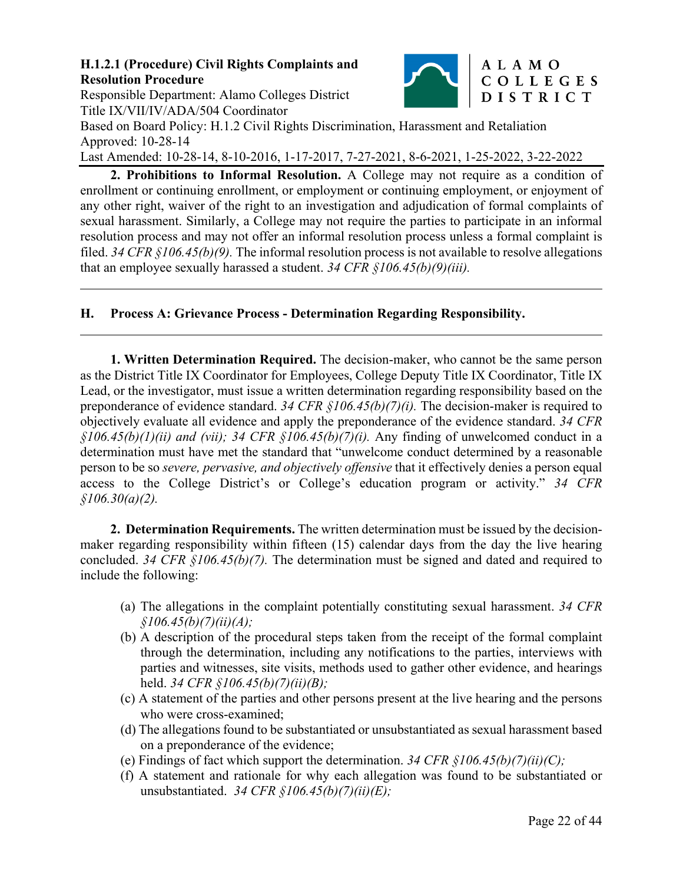

Responsible Department: Alamo Colleges District Title IX/VII/IV/ADA/504 Coordinator

 $\overline{a}$ 

l

Based on Board Policy: H.1.2 Civil Rights Discrimination, Harassment and Retaliation Approved: 10-28-14

Last Amended: 10-28-14, 8-10-2016, 1-17-2017, 7-27-2021, 8-6-2021, 1-25-2022, 3-22-2022

**2. Prohibitions to Informal Resolution.** A College may not require as a condition of enrollment or continuing enrollment, or employment or continuing employment, or enjoyment of any other right, waiver of the right to an investigation and adjudication of formal complaints of sexual harassment. Similarly, a College may not require the parties to participate in an informal resolution process and may not offer an informal resolution process unless a formal complaint is filed. *34 CFR §106.45(b)(9).* The informal resolution process is not available to resolve allegations that an employee sexually harassed a student. *34 CFR §106.45(b)(9)(iii).*

# **H. Process A: Grievance Process - Determination Regarding Responsibility.**

**1. Written Determination Required.** The decision-maker, who cannot be the same person as the District Title IX Coordinator for Employees, College Deputy Title IX Coordinator, Title IX Lead, or the investigator, must issue a written determination regarding responsibility based on the preponderance of evidence standard. *34 CFR §106.45(b)(7)(i).* The decision-maker is required to objectively evaluate all evidence and apply the preponderance of the evidence standard. *34 CFR §106.45(b)(1)(ii) and (vii); 34 CFR §106.45(b)(7)(i).* Any finding of unwelcomed conduct in a determination must have met the standard that "unwelcome conduct determined by a reasonable person to be so *severe, pervasive, and objectively offensive* that it effectively denies a person equal access to the College District's or College's education program or activity." *34 CFR §106.30(a)(2).* 

**2. Determination Requirements.** The written determination must be issued by the decisionmaker regarding responsibility within fifteen (15) calendar days from the day the live hearing concluded. *34 CFR §106.45(b)(7).* The determination must be signed and dated and required to include the following:

- (a) The allegations in the complaint potentially constituting sexual harassment. *34 CFR §106.45(b)(7)(ii)(A);*
- (b) A description of the procedural steps taken from the receipt of the formal complaint through the determination, including any notifications to the parties, interviews with parties and witnesses, site visits, methods used to gather other evidence, and hearings held. *34 CFR §106.45(b)(7)(ii)(B);*
- (c) A statement of the parties and other persons present at the live hearing and the persons who were cross-examined;
- (d) The allegations found to be substantiated or unsubstantiated as sexual harassment based on a preponderance of the evidence;
- (e) Findings of fact which support the determination. *34 CFR §106.45(b)(7)(ii)(C);*
- (f) A statement and rationale for why each allegation was found to be substantiated or unsubstantiated. *34 CFR §106.45(b)(7)(ii)(E);*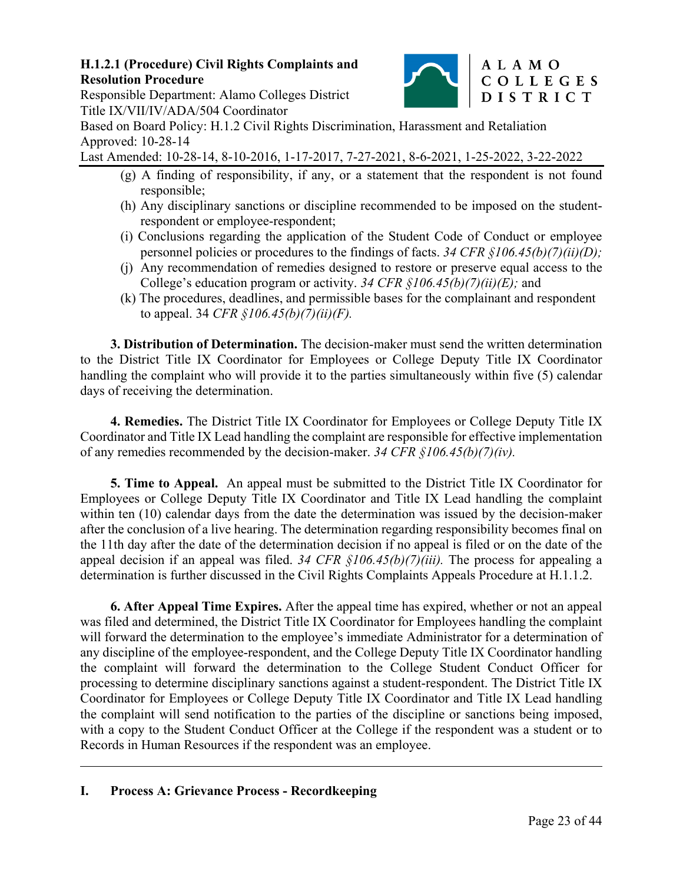

# Responsible Department: Alamo Colleges District Title IX/VII/IV/ADA/504 Coordinator

Based on Board Policy: H.1.2 Civil Rights Discrimination, Harassment and Retaliation Approved: 10-28-14

Last Amended: 10-28-14, 8-10-2016, 1-17-2017, 7-27-2021, 8-6-2021, 1-25-2022, 3-22-2022

- (g) A finding of responsibility, if any, or a statement that the respondent is not found responsible;
- (h) Any disciplinary sanctions or discipline recommended to be imposed on the studentrespondent or employee-respondent;
- (i) Conclusions regarding the application of the Student Code of Conduct or employee personnel policies or procedures to the findings of facts. *34 CFR §106.45(b)(7)(ii)(D);*
- (j) Any recommendation of remedies designed to restore or preserve equal access to the College's education program or activity. *34 CFR §106.45(b)(7)(ii)(E);* and
- (k) The procedures, deadlines, and permissible bases for the complainant and respondent to appeal. 34 *CFR §106.45(b)(7)(ii)(F).*

**3. Distribution of Determination.** The decision-maker must send the written determination to the District Title IX Coordinator for Employees or College Deputy Title IX Coordinator handling the complaint who will provide it to the parties simultaneously within five (5) calendar days of receiving the determination.

**4. Remedies.** The District Title IX Coordinator for Employees or College Deputy Title IX Coordinator and Title IX Lead handling the complaint are responsible for effective implementation of any remedies recommended by the decision-maker. *34 CFR §106.45(b)(7)(iv).* 

**5. Time to Appeal.** An appeal must be submitted to the District Title IX Coordinator for Employees or College Deputy Title IX Coordinator and Title IX Lead handling the complaint within ten (10) calendar days from the date the determination was issued by the decision-maker after the conclusion of a live hearing. The determination regarding responsibility becomes final on the 11th day after the date of the determination decision if no appeal is filed or on the date of the appeal decision if an appeal was filed. *34 CFR §106.45(b)(7)(iii).* The process for appealing a determination is further discussed in the Civil Rights Complaints Appeals Procedure at H.1.1.2.

**6. After Appeal Time Expires.** After the appeal time has expired, whether or not an appeal was filed and determined, the District Title IX Coordinator for Employees handling the complaint will forward the determination to the employee's immediate Administrator for a determination of any discipline of the employee-respondent, and the College Deputy Title IX Coordinator handling the complaint will forward the determination to the College Student Conduct Officer for processing to determine disciplinary sanctions against a student-respondent. The District Title IX Coordinator for Employees or College Deputy Title IX Coordinator and Title IX Lead handling the complaint will send notification to the parties of the discipline or sanctions being imposed, with a copy to the Student Conduct Officer at the College if the respondent was a student or to Records in Human Resources if the respondent was an employee.

 $\overline{a}$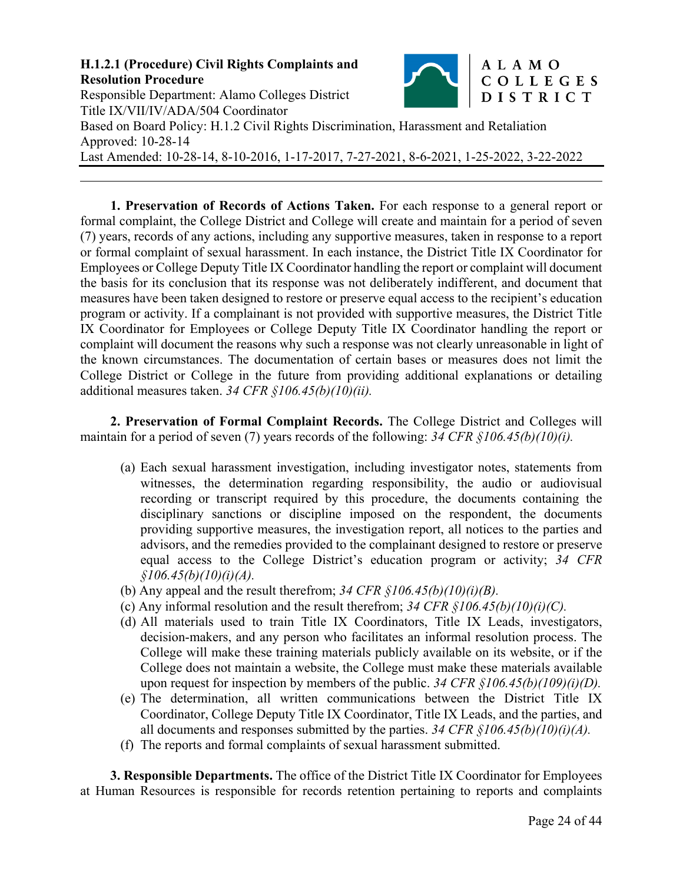

**1. Preservation of Records of Actions Taken.** For each response to a general report or formal complaint, the College District and College will create and maintain for a period of seven (7) years, records of any actions, including any supportive measures, taken in response to a report or formal complaint of sexual harassment. In each instance, the District Title IX Coordinator for Employees or College Deputy Title IX Coordinator handling the report or complaint will document the basis for its conclusion that its response was not deliberately indifferent, and document that measures have been taken designed to restore or preserve equal access to the recipient's education program or activity. If a complainant is not provided with supportive measures, the District Title IX Coordinator for Employees or College Deputy Title IX Coordinator handling the report or complaint will document the reasons why such a response was not clearly unreasonable in light of the known circumstances. The documentation of certain bases or measures does not limit the College District or College in the future from providing additional explanations or detailing additional measures taken. *34 CFR §106.45(b)(10)(ii).* 

**2. Preservation of Formal Complaint Records.** The College District and Colleges will maintain for a period of seven (7) years records of the following: *34 CFR §106.45(b)(10)(i).*

- (a) Each sexual harassment investigation, including investigator notes, statements from witnesses, the determination regarding responsibility, the audio or audiovisual recording or transcript required by this procedure, the documents containing the disciplinary sanctions or discipline imposed on the respondent, the documents providing supportive measures, the investigation report, all notices to the parties and advisors, and the remedies provided to the complainant designed to restore or preserve equal access to the College District's education program or activity; *34 CFR §106.45(b)(10)(i)(A).*
- (b) Any appeal and the result therefrom; *34 CFR §106.45(b)(10)(i)(B).*
- (c) Any informal resolution and the result therefrom; *34 CFR §106.45(b)(10)(i)(C).*
- (d) All materials used to train Title IX Coordinators, Title IX Leads, investigators, decision-makers, and any person who facilitates an informal resolution process. The College will make these training materials publicly available on its website, or if the College does not maintain a website, the College must make these materials available upon request for inspection by members of the public. *34 CFR §106.45(b)(109)(i)(D).*
- (e) The determination, all written communications between the District Title IX Coordinator, College Deputy Title IX Coordinator, Title IX Leads, and the parties, and all documents and responses submitted by the parties.  $34 \text{ CFR } \frac{\xi}{106.45(b)(10)(i)}$ .
- (f) The reports and formal complaints of sexual harassment submitted.

**3. Responsible Departments.** The office of the District Title IX Coordinator for Employees at Human Resources is responsible for records retention pertaining to reports and complaints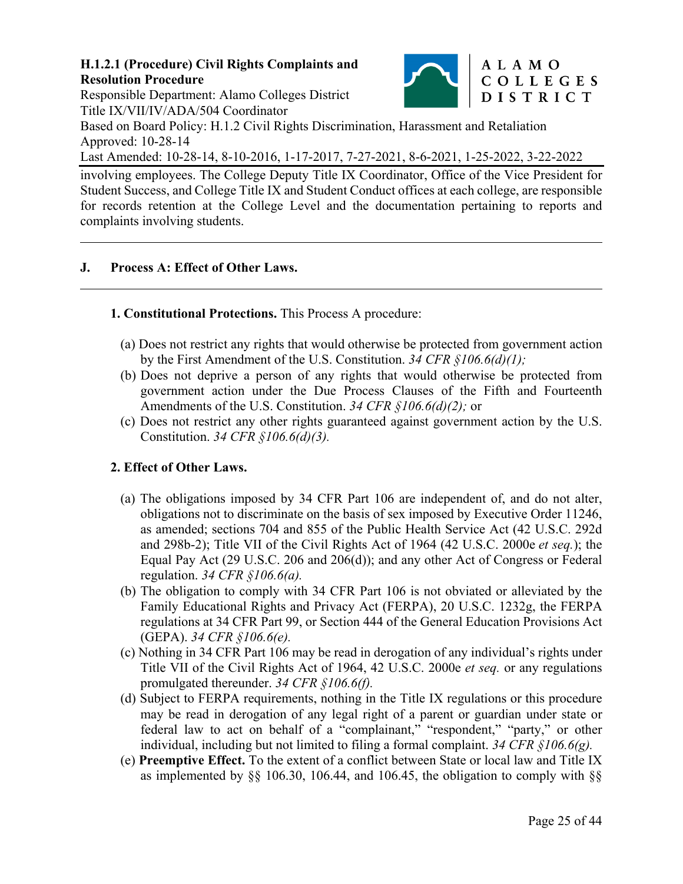

Responsible Department: Alamo Colleges District Title IX/VII/IV/ADA/504 Coordinator

Based on Board Policy: H.1.2 Civil Rights Discrimination, Harassment and Retaliation Approved: 10-28-14

Last Amended: 10-28-14, 8-10-2016, 1-17-2017, 7-27-2021, 8-6-2021, 1-25-2022, 3-22-2022

involving employees. The College Deputy Title IX Coordinator, Office of the Vice President for Student Success, and College Title IX and Student Conduct offices at each college, are responsible for records retention at the College Level and the documentation pertaining to reports and complaints involving students.

# **J. Process A: Effect of Other Laws.**

 $\overline{a}$ 

# **1. Constitutional Protections.** This Process A procedure:

- (a) Does not restrict any rights that would otherwise be protected from government action by the First Amendment of the U.S. Constitution. *34 CFR §106.6(d)(1);*
- (b) Does not deprive a person of any rights that would otherwise be protected from government action under the Due Process Clauses of the Fifth and Fourteenth Amendments of the U.S. Constitution. *34 CFR §106.6(d)(2);* or
- (c) Does not restrict any other rights guaranteed against government action by the U.S. Constitution. *34 CFR §106.6(d)(3).*

### **2. Effect of Other Laws.**

- (a) The obligations imposed by 34 CFR Part 106 are independent of, and do not alter, obligations not to discriminate on the basis of sex imposed by Executive Order 11246, as amended; sections 704 and 855 of the Public Health Service Act (42 U.S.C. 292d and 298b-2); Title VII of the Civil Rights Act of 1964 (42 U.S.C. 2000e *et seq.*); the Equal Pay Act (29 U.S.C. 206 and 206(d)); and any other Act of Congress or Federal regulation. *34 CFR §106.6(a).*
- (b) The obligation to comply with 34 CFR Part 106 is not obviated or alleviated by the Family Educational Rights and Privacy Act (FERPA), 20 U.S.C. 1232g, the FERPA regulations at 34 CFR Part 99, or Section 444 of the General Education Provisions Act (GEPA). *34 CFR §106.6(e).*
- (c) Nothing in 34 CFR Part 106 may be read in derogation of any individual's rights under Title VII of the Civil Rights Act of 1964, 42 U.S.C. 2000e *et seq.* or any regulations promulgated thereunder. *34 CFR §106.6(f).*
- (d) Subject to FERPA requirements, nothing in the Title IX regulations or this procedure may be read in derogation of any legal right of a parent or guardian under state or federal law to act on behalf of a "complainant," "respondent," "party," or other individual, including but not limited to filing a formal complaint. *34 CFR §106.6(g).*
- (e) **Preemptive Effect.** To the extent of a conflict between State or local law and Title IX as implemented by  $\S$ § 106.30, 106.44, and 106.45, the obligation to comply with  $\S$ §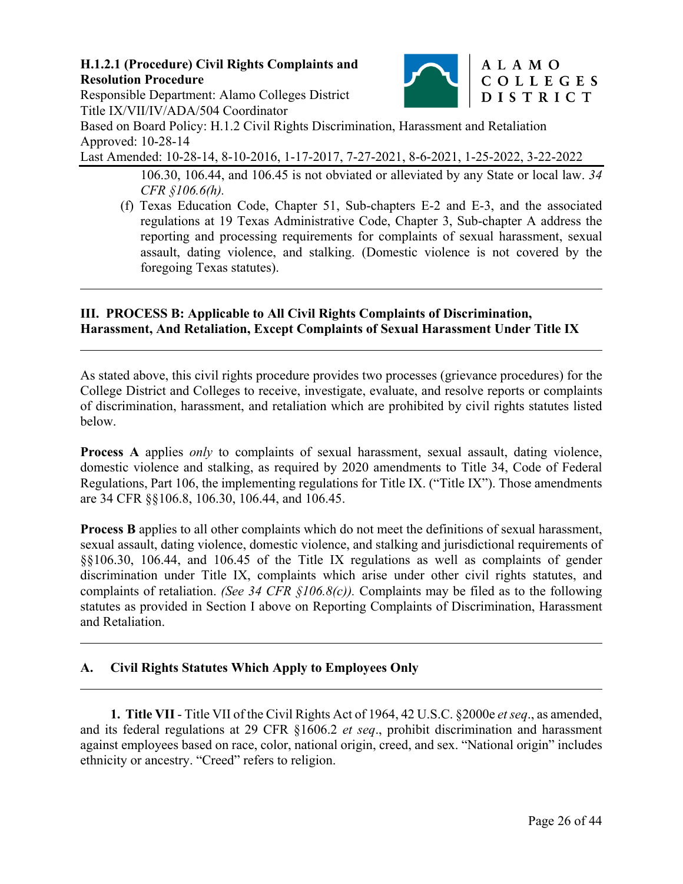

Responsible Department: Alamo Colleges District Title IX/VII/IV/ADA/504 Coordinator

 $\overline{a}$ 

 $\overline{a}$ 

 $\overline{a}$ 

Based on Board Policy: H.1.2 Civil Rights Discrimination, Harassment and Retaliation Approved: 10-28-14

Last Amended: 10-28-14, 8-10-2016, 1-17-2017, 7-27-2021, 8-6-2021, 1-25-2022, 3-22-2022

- 106.30, 106.44, and 106.45 is not obviated or alleviated by any State or local law. *34 CFR §106.6(h).*
- (f) Texas Education Code, Chapter 51, Sub-chapters E-2 and E-3, and the associated regulations at 19 Texas Administrative Code, Chapter 3, Sub-chapter A address the reporting and processing requirements for complaints of sexual harassment, sexual assault, dating violence, and stalking. (Domestic violence is not covered by the foregoing Texas statutes).

### **III. PROCESS B: Applicable to All Civil Rights Complaints of Discrimination, Harassment, And Retaliation, Except Complaints of Sexual Harassment Under Title IX**

As stated above, this civil rights procedure provides two processes (grievance procedures) for the College District and Colleges to receive, investigate, evaluate, and resolve reports or complaints of discrimination, harassment, and retaliation which are prohibited by civil rights statutes listed below.

**Process A** applies *only* to complaints of sexual harassment, sexual assault, dating violence, domestic violence and stalking, as required by 2020 amendments to Title 34, Code of Federal Regulations, Part 106, the implementing regulations for Title IX. ("Title IX"). Those amendments are 34 CFR §§106.8, 106.30, 106.44, and 106.45.

**Process B** applies to all other complaints which do not meet the definitions of sexual harassment, sexual assault, dating violence, domestic violence, and stalking and jurisdictional requirements of §§106.30, 106.44, and 106.45 of the Title IX regulations as well as complaints of gender discrimination under Title IX, complaints which arise under other civil rights statutes, and complaints of retaliation. *(See 34 CFR §106.8(c)).* Complaints may be filed as to the following statutes as provided in Section I above on Reporting Complaints of Discrimination, Harassment and Retaliation.

# **A. Civil Rights Statutes Which Apply to Employees Only**

**1. Title VII** - Title VII of the Civil Rights Act of 1964, 42 U.S.C. §2000e *et seq*., as amended, and its federal regulations at 29 CFR §1606.2 *et seq*., prohibit discrimination and harassment against employees based on race, color, national origin, creed, and sex. "National origin" includes ethnicity or ancestry. "Creed" refers to religion.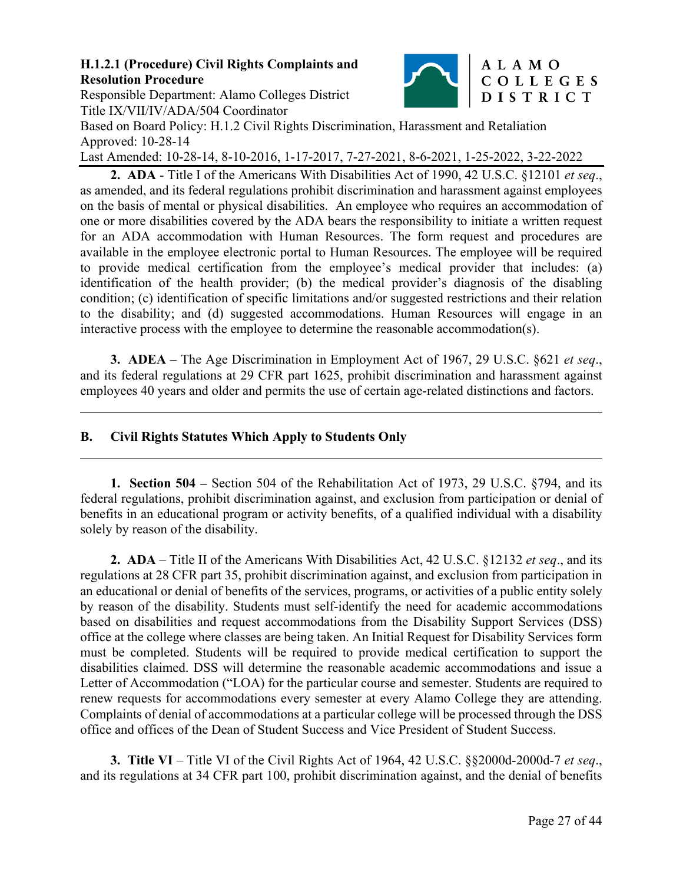Responsible Department: Alamo Colleges District



## ALAMO COLLEGES DISTRICT

Title IX/VII/IV/ADA/504 Coordinator Based on Board Policy: H.1.2 Civil Rights Discrimination, Harassment and Retaliation Approved: 10-28-14

Last Amended: 10-28-14, 8-10-2016, 1-17-2017, 7-27-2021, 8-6-2021, 1-25-2022, 3-22-2022

**2. ADA** - Title I of the Americans With Disabilities Act of 1990, 42 U.S.C. §12101 *et seq*., as amended, and its federal regulations prohibit discrimination and harassment against employees on the basis of mental or physical disabilities. An employee who requires an accommodation of one or more disabilities covered by the ADA bears the responsibility to initiate a written request for an ADA accommodation with Human Resources. The form request and procedures are available in the employee electronic portal to Human Resources. The employee will be required to provide medical certification from the employee's medical provider that includes: (a) identification of the health provider; (b) the medical provider's diagnosis of the disabling condition; (c) identification of specific limitations and/or suggested restrictions and their relation to the disability; and (d) suggested accommodations. Human Resources will engage in an interactive process with the employee to determine the reasonable accommodation(s).

**3. ADEA** – The Age Discrimination in Employment Act of 1967, 29 U.S.C. §621 *et seq*., and its federal regulations at 29 CFR part 1625, prohibit discrimination and harassment against employees 40 years and older and permits the use of certain age-related distinctions and factors.

### **B. Civil Rights Statutes Which Apply to Students Only**

 $\overline{a}$ 

 $\overline{a}$ 

**1. Section 504 –** Section 504 of the Rehabilitation Act of 1973, 29 U.S.C. §794, and its federal regulations, prohibit discrimination against, and exclusion from participation or denial of benefits in an educational program or activity benefits, of a qualified individual with a disability solely by reason of the disability.

**2. ADA** – Title II of the Americans With Disabilities Act, 42 U.S.C. §12132 *et seq*., and its regulations at 28 CFR part 35, prohibit discrimination against, and exclusion from participation in an educational or denial of benefits of the services, programs, or activities of a public entity solely by reason of the disability. Students must self-identify the need for academic accommodations based on disabilities and request accommodations from the Disability Support Services (DSS) office at the college where classes are being taken. An Initial Request for Disability Services form must be completed. Students will be required to provide medical certification to support the disabilities claimed. DSS will determine the reasonable academic accommodations and issue a Letter of Accommodation ("LOA) for the particular course and semester. Students are required to renew requests for accommodations every semester at every Alamo College they are attending. Complaints of denial of accommodations at a particular college will be processed through the DSS office and offices of the Dean of Student Success and Vice President of Student Success.

**3. Title VI** – Title VI of the Civil Rights Act of 1964, 42 U.S.C. §§2000d-2000d-7 *et seq*., and its regulations at 34 CFR part 100, prohibit discrimination against, and the denial of benefits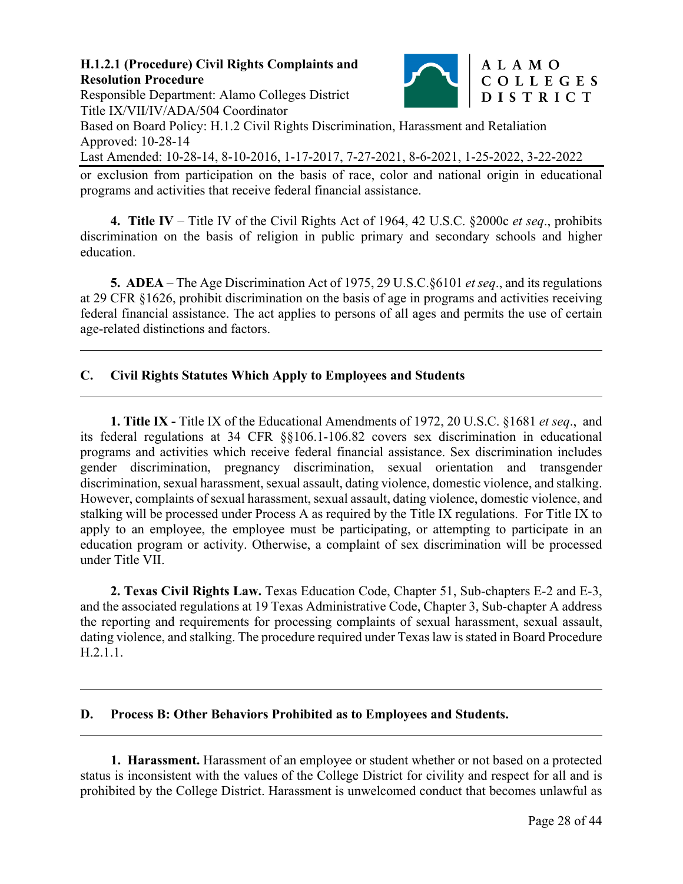

Responsible Department: Alamo Colleges District Title IX/VII/IV/ADA/504 Coordinator

 $\overline{a}$ 

 $\overline{a}$ 

 $\overline{a}$ 

 $\overline{a}$ 

Based on Board Policy: H.1.2 Civil Rights Discrimination, Harassment and Retaliation Approved: 10-28-14

Last Amended: 10-28-14, 8-10-2016, 1-17-2017, 7-27-2021, 8-6-2021, 1-25-2022, 3-22-2022

or exclusion from participation on the basis of race, color and national origin in educational programs and activities that receive federal financial assistance.

**4. Title IV** – Title IV of the Civil Rights Act of 1964, 42 U.S.C. §2000c *et seq*., prohibits discrimination on the basis of religion in public primary and secondary schools and higher education.

**5. ADEA** – The Age Discrimination Act of 1975, 29 U.S.C.§6101 *et seq*., and its regulations at 29 CFR §1626, prohibit discrimination on the basis of age in programs and activities receiving federal financial assistance. The act applies to persons of all ages and permits the use of certain age-related distinctions and factors.

# **C. Civil Rights Statutes Which Apply to Employees and Students**

**1. Title IX -** Title IX of the Educational Amendments of 1972, 20 U.S.C. §1681 *et seq*., and its federal regulations at 34 CFR §§106.1-106.82 covers sex discrimination in educational programs and activities which receive federal financial assistance. Sex discrimination includes gender discrimination, pregnancy discrimination, sexual orientation and transgender discrimination, sexual harassment, sexual assault, dating violence, domestic violence, and stalking. However, complaints of sexual harassment, sexual assault, dating violence, domestic violence, and stalking will be processed under Process A as required by the Title IX regulations. For Title IX to apply to an employee, the employee must be participating, or attempting to participate in an education program or activity. Otherwise, a complaint of sex discrimination will be processed under Title VII.

**2. Texas Civil Rights Law.** Texas Education Code, Chapter 51, Sub-chapters E-2 and E-3, and the associated regulations at 19 Texas Administrative Code, Chapter 3, Sub-chapter A address the reporting and requirements for processing complaints of sexual harassment, sexual assault, dating violence, and stalking. The procedure required under Texas law is stated in Board Procedure H.2.1.1.

### **D. Process B: Other Behaviors Prohibited as to Employees and Students.**

**1. Harassment.** Harassment of an employee or student whether or not based on a protected status is inconsistent with the values of the College District for civility and respect for all and is prohibited by the College District. Harassment is unwelcomed conduct that becomes unlawful as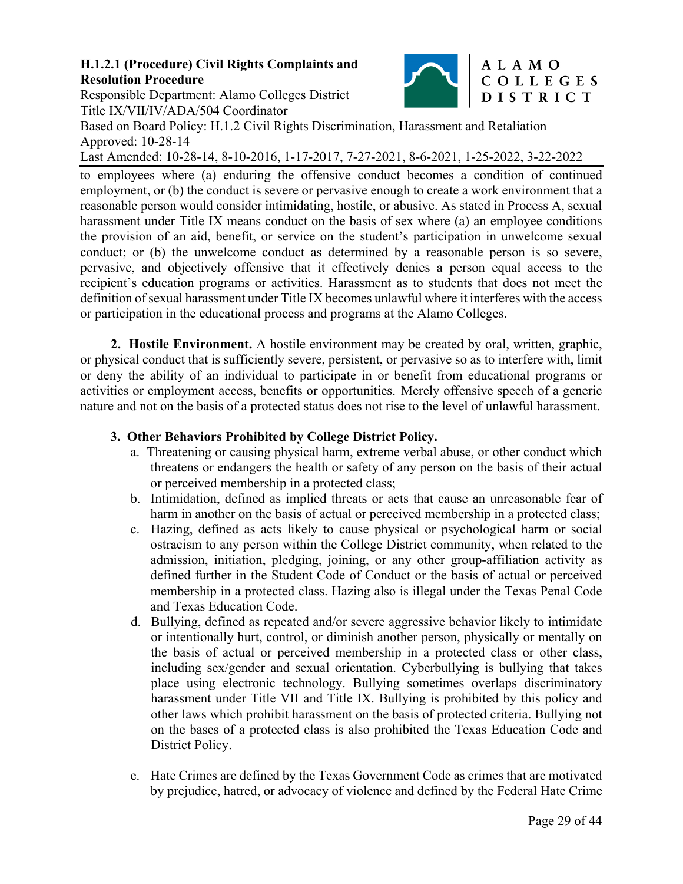

# Responsible Department: Alamo Colleges District Title IX/VII/IV/ADA/504 Coordinator

Based on Board Policy: H.1.2 Civil Rights Discrimination, Harassment and Retaliation Approved: 10-28-14

Last Amended: 10-28-14, 8-10-2016, 1-17-2017, 7-27-2021, 8-6-2021, 1-25-2022, 3-22-2022

to employees where (a) enduring the offensive conduct becomes a condition of continued employment, or (b) the conduct is severe or pervasive enough to create a work environment that a reasonable person would consider intimidating, hostile, or abusive. As stated in Process A, sexual harassment under Title IX means conduct on the basis of sex where (a) an employee conditions the provision of an aid, benefit, or service on the student's participation in unwelcome sexual conduct; or (b) the unwelcome conduct as determined by a reasonable person is so severe, pervasive, and objectively offensive that it effectively denies a person equal access to the recipient's education programs or activities. Harassment as to students that does not meet the definition of sexual harassment under Title IX becomes unlawful where it interferes with the access or participation in the educational process and programs at the Alamo Colleges.

**2. Hostile Environment.** A hostile environment may be created by oral, written, graphic, or physical conduct that is sufficiently severe, persistent, or pervasive so as to interfere with, limit or deny the ability of an individual to participate in or benefit from educational programs or activities or employment access, benefits or opportunities. Merely offensive speech of a generic nature and not on the basis of a protected status does not rise to the level of unlawful harassment.

# **3. Other Behaviors Prohibited by College District Policy.**

- a. Threatening or causing physical harm, extreme verbal abuse, or other conduct which threatens or endangers the health or safety of any person on the basis of their actual or perceived membership in a protected class;
- b. Intimidation, defined as implied threats or acts that cause an unreasonable fear of harm in another on the basis of actual or perceived membership in a protected class;
- c. Hazing, defined as acts likely to cause physical or psychological harm or social ostracism to any person within the College District community, when related to the admission, initiation, pledging, joining, or any other group-affiliation activity as defined further in the Student Code of Conduct or the basis of actual or perceived membership in a protected class. Hazing also is illegal under the Texas Penal Code and Texas Education Code.
- d. Bullying, defined as repeated and/or severe aggressive behavior likely to intimidate or intentionally hurt, control, or diminish another person, physically or mentally on the basis of actual or perceived membership in a protected class or other class, including sex/gender and sexual orientation. Cyberbullying is bullying that takes place using electronic technology. Bullying sometimes overlaps discriminatory harassment under Title VII and Title IX. Bullying is prohibited by this policy and other laws which prohibit harassment on the basis of protected criteria. Bullying not on the bases of a protected class is also prohibited the Texas Education Code and District Policy.
- e. Hate Crimes are defined by the Texas Government Code as crimes that are motivated by prejudice, hatred, or advocacy of violence and defined by the Federal Hate Crime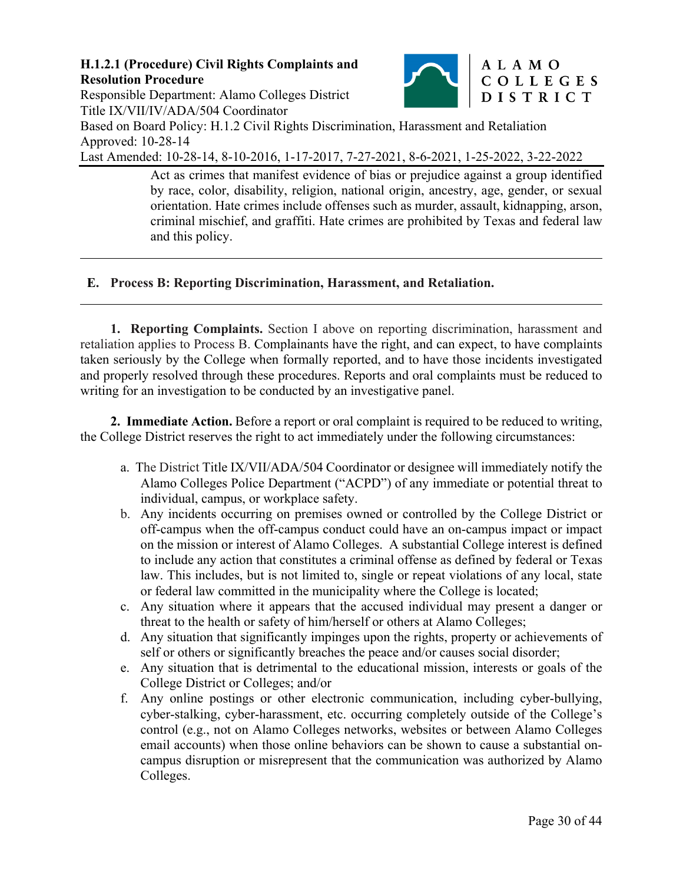$\overline{a}$ 

 $\overline{a}$ 



Responsible Department: Alamo Colleges District DISTRICT Title IX/VII/IV/ADA/504 Coordinator Based on Board Policy: H.1.2 Civil Rights Discrimination, Harassment and Retaliation Approved: 10-28-14

Last Amended: 10-28-14, 8-10-2016, 1-17-2017, 7-27-2021, 8-6-2021, 1-25-2022, 3-22-2022

Act as crimes that manifest evidence of bias or prejudice against a group identified by race, color, disability, religion, national origin, ancestry, age, gender, or sexual orientation. Hate crimes include offenses such as murder, assault, kidnapping, arson, criminal mischief, and graffiti. Hate crimes are prohibited by Texas and federal law and this policy.

# **E. Process B: Reporting Discrimination, Harassment, and Retaliation.**

**1. Reporting Complaints.** Section I above on reporting discrimination, harassment and retaliation applies to Process B. Complainants have the right, and can expect, to have complaints taken seriously by the College when formally reported, and to have those incidents investigated and properly resolved through these procedures. Reports and oral complaints must be reduced to writing for an investigation to be conducted by an investigative panel.

**2. Immediate Action.** Before a report or oral complaint is required to be reduced to writing, the College District reserves the right to act immediately under the following circumstances:

- a. The District Title IX/VII/ADA/504 Coordinator or designee will immediately notify the Alamo Colleges Police Department ("ACPD") of any immediate or potential threat to individual, campus, or workplace safety.
- b. Any incidents occurring on premises owned or controlled by the College District or off-campus when the off-campus conduct could have an on-campus impact or impact on the mission or interest of Alamo Colleges. A substantial College interest is defined to include any action that constitutes a criminal offense as defined by federal or Texas law. This includes, but is not limited to, single or repeat violations of any local, state or federal law committed in the municipality where the College is located;
- c. Any situation where it appears that the accused individual may present a danger or threat to the health or safety of him/herself or others at Alamo Colleges;
- d. Any situation that significantly impinges upon the rights, property or achievements of self or others or significantly breaches the peace and/or causes social disorder;
- e. Any situation that is detrimental to the educational mission, interests or goals of the College District or Colleges; and/or
- f. Any online postings or other electronic communication, including cyber-bullying, cyber-stalking, cyber-harassment, etc. occurring completely outside of the College's control (e.g., not on Alamo Colleges networks, websites or between Alamo Colleges email accounts) when those online behaviors can be shown to cause a substantial oncampus disruption or misrepresent that the communication was authorized by Alamo Colleges.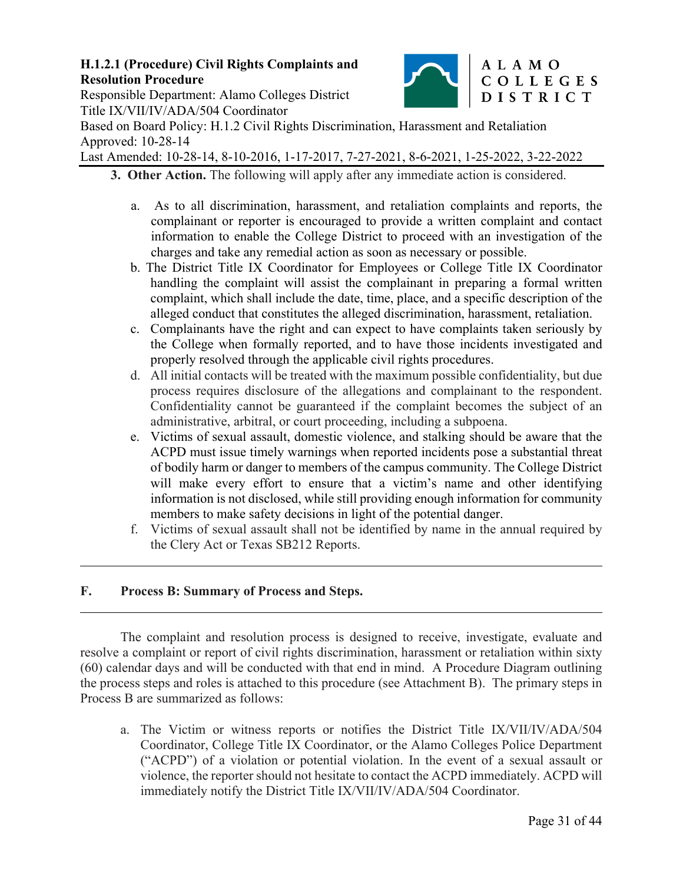

# Responsible Department: Alamo Colleges District Title IX/VII/IV/ADA/504 Coordinator

Based on Board Policy: H.1.2 Civil Rights Discrimination, Harassment and Retaliation Approved: 10-28-14

Last Amended: 10-28-14, 8-10-2016, 1-17-2017, 7-27-2021, 8-6-2021, 1-25-2022, 3-22-2022

- **3. Other Action.** The following will apply after any immediate action is considered.
	- a. As to all discrimination, harassment, and retaliation complaints and reports, the complainant or reporter is encouraged to provide a written complaint and contact information to enable the College District to proceed with an investigation of the charges and take any remedial action as soon as necessary or possible.
	- b. The District Title IX Coordinator for Employees or College Title IX Coordinator handling the complaint will assist the complainant in preparing a formal written complaint, which shall include the date, time, place, and a specific description of the alleged conduct that constitutes the alleged discrimination, harassment, retaliation.
	- c. Complainants have the right and can expect to have complaints taken seriously by the College when formally reported, and to have those incidents investigated and properly resolved through the applicable civil rights procedures.
	- d. All initial contacts will be treated with the maximum possible confidentiality, but due process requires disclosure of the allegations and complainant to the respondent. Confidentiality cannot be guaranteed if the complaint becomes the subject of an administrative, arbitral, or court proceeding, including a subpoena.
	- e. Victims of sexual assault, domestic violence, and stalking should be aware that the ACPD must issue timely warnings when reported incidents pose a substantial threat of bodily harm or danger to members of the campus community. The College District will make every effort to ensure that a victim's name and other identifying information is not disclosed, while still providing enough information for community members to make safety decisions in light of the potential danger.
	- f. Victims of sexual assault shall not be identified by name in the annual required by the Clery Act or Texas SB212 Reports.

# **F. Process B: Summary of Process and Steps.**

 $\overline{a}$ 

 $\overline{a}$ 

The complaint and resolution process is designed to receive, investigate, evaluate and resolve a complaint or report of civil rights discrimination, harassment or retaliation within sixty (60) calendar days and will be conducted with that end in mind. A Procedure Diagram outlining the process steps and roles is attached to this procedure (see Attachment B). The primary steps in Process B are summarized as follows:

a. The Victim or witness reports or notifies the District Title IX/VII/IV/ADA/504 Coordinator, College Title IX Coordinator, or the Alamo Colleges Police Department ("ACPD") of a violation or potential violation. In the event of a sexual assault or violence, the reporter should not hesitate to contact the ACPD immediately. ACPD will immediately notify the District Title IX/VII/IV/ADA/504 Coordinator.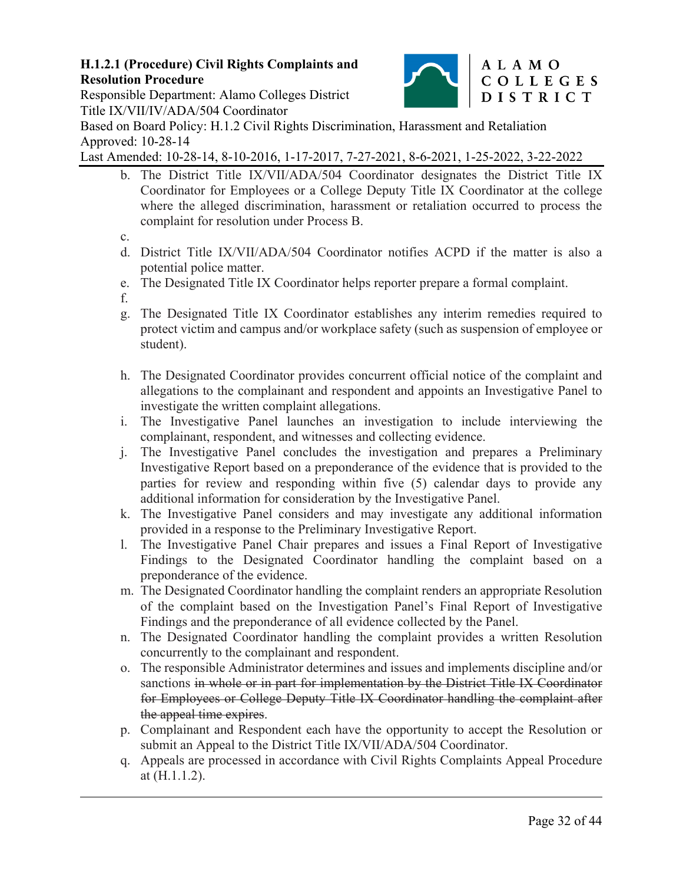

# Responsible Department: Alamo Colleges District Title IX/VII/IV/ADA/504 Coordinator

Based on Board Policy: H.1.2 Civil Rights Discrimination, Harassment and Retaliation Approved: 10-28-14

Last Amended: 10-28-14, 8-10-2016, 1-17-2017, 7-27-2021, 8-6-2021, 1-25-2022, 3-22-2022

- b. The District Title IX/VII/ADA/504 Coordinator designates the District Title IX Coordinator for Employees or a College Deputy Title IX Coordinator at the college where the alleged discrimination, harassment or retaliation occurred to process the complaint for resolution under Process B.
- c.
- d. District Title IX/VII/ADA/504 Coordinator notifies ACPD if the matter is also a potential police matter.
- e. The Designated Title IX Coordinator helps reporter prepare a formal complaint.
- f.

 $\overline{a}$ 

- g. The Designated Title IX Coordinator establishes any interim remedies required to protect victim and campus and/or workplace safety (such as suspension of employee or student).
- h. The Designated Coordinator provides concurrent official notice of the complaint and allegations to the complainant and respondent and appoints an Investigative Panel to investigate the written complaint allegations.
- i. The Investigative Panel launches an investigation to include interviewing the complainant, respondent, and witnesses and collecting evidence.
- j. The Investigative Panel concludes the investigation and prepares a Preliminary Investigative Report based on a preponderance of the evidence that is provided to the parties for review and responding within five (5) calendar days to provide any additional information for consideration by the Investigative Panel.
- k. The Investigative Panel considers and may investigate any additional information provided in a response to the Preliminary Investigative Report.
- l. The Investigative Panel Chair prepares and issues a Final Report of Investigative Findings to the Designated Coordinator handling the complaint based on a preponderance of the evidence.
- m. The Designated Coordinator handling the complaint renders an appropriate Resolution of the complaint based on the Investigation Panel's Final Report of Investigative Findings and the preponderance of all evidence collected by the Panel.
- n. The Designated Coordinator handling the complaint provides a written Resolution concurrently to the complainant and respondent.
- o. The responsible Administrator determines and issues and implements discipline and/or sanctions in whole or in part for implementation by the District Title IX Coordinator for Employees or College Deputy Title IX Coordinator handling the complaint after the appeal time expires.
- p. Complainant and Respondent each have the opportunity to accept the Resolution or submit an Appeal to the District Title IX/VII/ADA/504 Coordinator.
- q. Appeals are processed in accordance with Civil Rights Complaints Appeal Procedure at (H.1.1.2).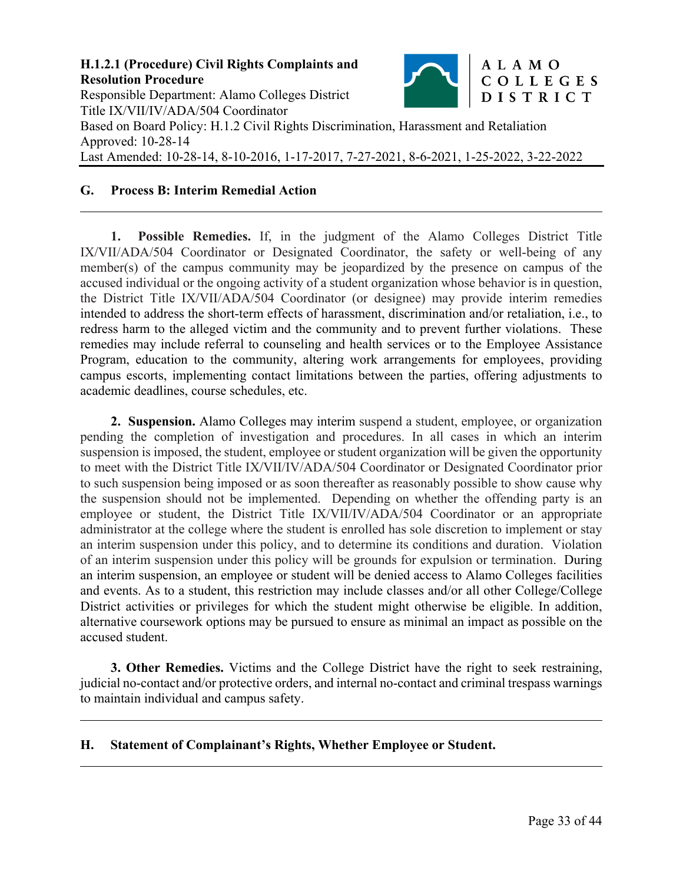

#### **G. Process B: Interim Remedial Action**

 $\overline{a}$ 

 $\overline{a}$ 

 $\overline{a}$ 

**1. Possible Remedies.** If, in the judgment of the Alamo Colleges District Title IX/VII/ADA/504 Coordinator or Designated Coordinator, the safety or well-being of any member(s) of the campus community may be jeopardized by the presence on campus of the accused individual or the ongoing activity of a student organization whose behavior is in question, the District Title IX/VII/ADA/504 Coordinator (or designee) may provide interim remedies intended to address the short-term effects of harassment, discrimination and/or retaliation, i.e., to redress harm to the alleged victim and the community and to prevent further violations. These remedies may include referral to counseling and health services or to the Employee Assistance Program, education to the community, altering work arrangements for employees, providing campus escorts, implementing contact limitations between the parties, offering adjustments to academic deadlines, course schedules, etc.

**2. Suspension.** Alamo Colleges may interim suspend a student, employee, or organization pending the completion of investigation and procedures. In all cases in which an interim suspension is imposed, the student, employee or student organization will be given the opportunity to meet with the District Title IX/VII/IV/ADA/504 Coordinator or Designated Coordinator prior to such suspension being imposed or as soon thereafter as reasonably possible to show cause why the suspension should not be implemented. Depending on whether the offending party is an employee or student, the District Title IX/VII/IV/ADA/504 Coordinator or an appropriate administrator at the college where the student is enrolled has sole discretion to implement or stay an interim suspension under this policy, and to determine its conditions and duration. Violation of an interim suspension under this policy will be grounds for expulsion or termination. During an interim suspension, an employee or student will be denied access to Alamo Colleges facilities and events. As to a student, this restriction may include classes and/or all other College/College District activities or privileges for which the student might otherwise be eligible. In addition, alternative coursework options may be pursued to ensure as minimal an impact as possible on the accused student.

**3. Other Remedies.** Victims and the College District have the right to seek restraining, judicial no-contact and/or protective orders, and internal no-contact and criminal trespass warnings to maintain individual and campus safety.

#### **H. Statement of Complainant's Rights, Whether Employee or Student.**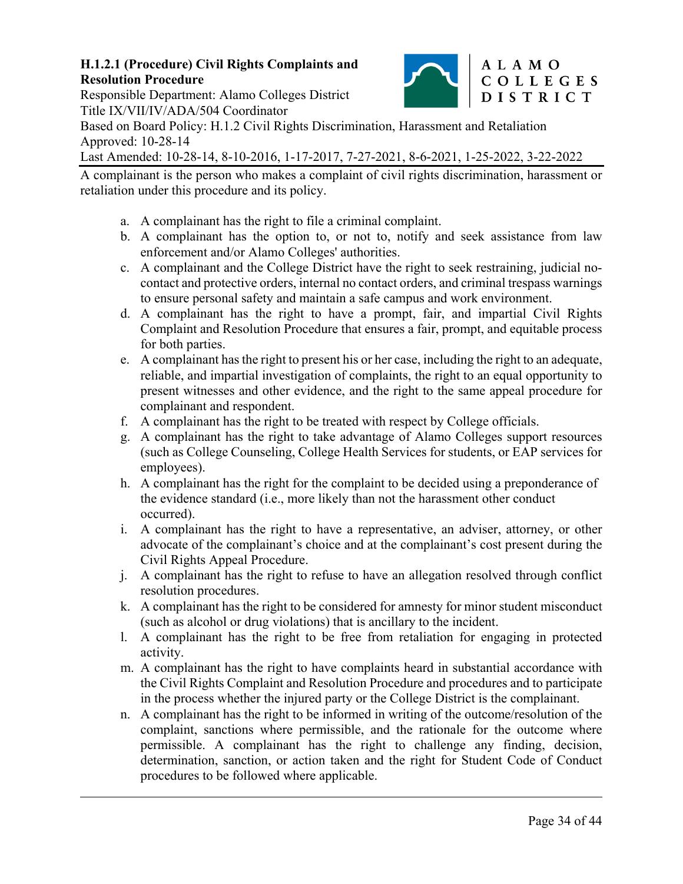

### Responsible Department: Alamo Colleges District Title IX/VII/IV/ADA/504 Coordinator

 $\overline{a}$ 

Based on Board Policy: H.1.2 Civil Rights Discrimination, Harassment and Retaliation Approved: 10-28-14

Last Amended: 10-28-14, 8-10-2016, 1-17-2017, 7-27-2021, 8-6-2021, 1-25-2022, 3-22-2022

A complainant is the person who makes a complaint of civil rights discrimination, harassment or retaliation under this procedure and its policy.

- a. A complainant has the right to file a criminal complaint.
- b. A complainant has the option to, or not to, notify and seek assistance from law enforcement and/or Alamo Colleges' authorities.
- c. A complainant and the College District have the right to seek restraining, judicial nocontact and protective orders, internal no contact orders, and criminal trespass warnings to ensure personal safety and maintain a safe campus and work environment.
- d. A complainant has the right to have a prompt, fair, and impartial Civil Rights Complaint and Resolution Procedure that ensures a fair, prompt, and equitable process for both parties.
- e. A complainant has the right to present his or her case, including the right to an adequate, reliable, and impartial investigation of complaints, the right to an equal opportunity to present witnesses and other evidence, and the right to the same appeal procedure for complainant and respondent.
- f. A complainant has the right to be treated with respect by College officials.
- g. A complainant has the right to take advantage of Alamo Colleges support resources (such as College Counseling, College Health Services for students, or EAP services for employees).
- h. A complainant has the right for the complaint to be decided using a preponderance of the evidence standard (i.e., more likely than not the harassment other conduct occurred).
- i. A complainant has the right to have a representative, an adviser, attorney, or other advocate of the complainant's choice and at the complainant's cost present during the Civil Rights Appeal Procedure.
- j. A complainant has the right to refuse to have an allegation resolved through conflict resolution procedures.
- k. A complainant has the right to be considered for amnesty for minor student misconduct (such as alcohol or drug violations) that is ancillary to the incident.
- l. A complainant has the right to be free from retaliation for engaging in protected activity.
- m. A complainant has the right to have complaints heard in substantial accordance with the Civil Rights Complaint and Resolution Procedure and procedures and to participate in the process whether the injured party or the College District is the complainant.
- n. A complainant has the right to be informed in writing of the outcome/resolution of the complaint, sanctions where permissible, and the rationale for the outcome where permissible. A complainant has the right to challenge any finding, decision, determination, sanction, or action taken and the right for Student Code of Conduct procedures to be followed where applicable.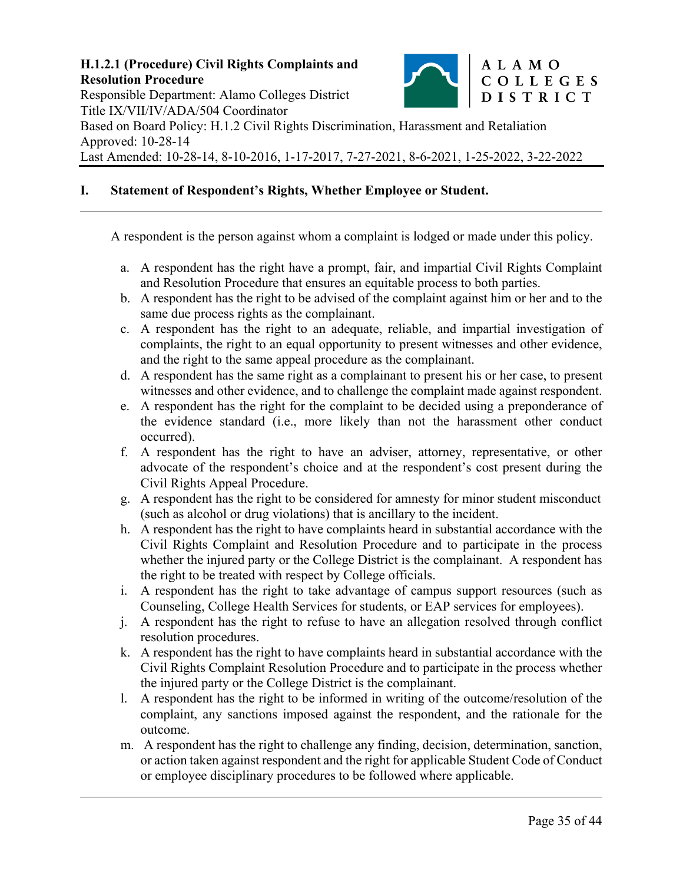

#### **I. Statement of Respondent's Rights, Whether Employee or Student.**

 $\overline{a}$ 

 $\overline{a}$ 

A respondent is the person against whom a complaint is lodged or made under this policy.

- a. A respondent has the right have a prompt, fair, and impartial Civil Rights Complaint and Resolution Procedure that ensures an equitable process to both parties.
- b. A respondent has the right to be advised of the complaint against him or her and to the same due process rights as the complainant.
- c. A respondent has the right to an adequate, reliable, and impartial investigation of complaints, the right to an equal opportunity to present witnesses and other evidence, and the right to the same appeal procedure as the complainant.
- d. A respondent has the same right as a complainant to present his or her case, to present witnesses and other evidence, and to challenge the complaint made against respondent.
- e. A respondent has the right for the complaint to be decided using a preponderance of the evidence standard (i.e., more likely than not the harassment other conduct occurred).
- f. A respondent has the right to have an adviser, attorney, representative, or other advocate of the respondent's choice and at the respondent's cost present during the Civil Rights Appeal Procedure.
- g. A respondent has the right to be considered for amnesty for minor student misconduct (such as alcohol or drug violations) that is ancillary to the incident.
- h. A respondent has the right to have complaints heard in substantial accordance with the Civil Rights Complaint and Resolution Procedure and to participate in the process whether the injured party or the College District is the complainant. A respondent has the right to be treated with respect by College officials.
- i. A respondent has the right to take advantage of campus support resources (such as Counseling, College Health Services for students, or EAP services for employees).
- j. A respondent has the right to refuse to have an allegation resolved through conflict resolution procedures.
- k. A respondent has the right to have complaints heard in substantial accordance with the Civil Rights Complaint Resolution Procedure and to participate in the process whether the injured party or the College District is the complainant.
- l. A respondent has the right to be informed in writing of the outcome/resolution of the complaint, any sanctions imposed against the respondent, and the rationale for the outcome.
- m. A respondent has the right to challenge any finding, decision, determination, sanction, or action taken against respondent and the right for applicable Student Code of Conduct or employee disciplinary procedures to be followed where applicable.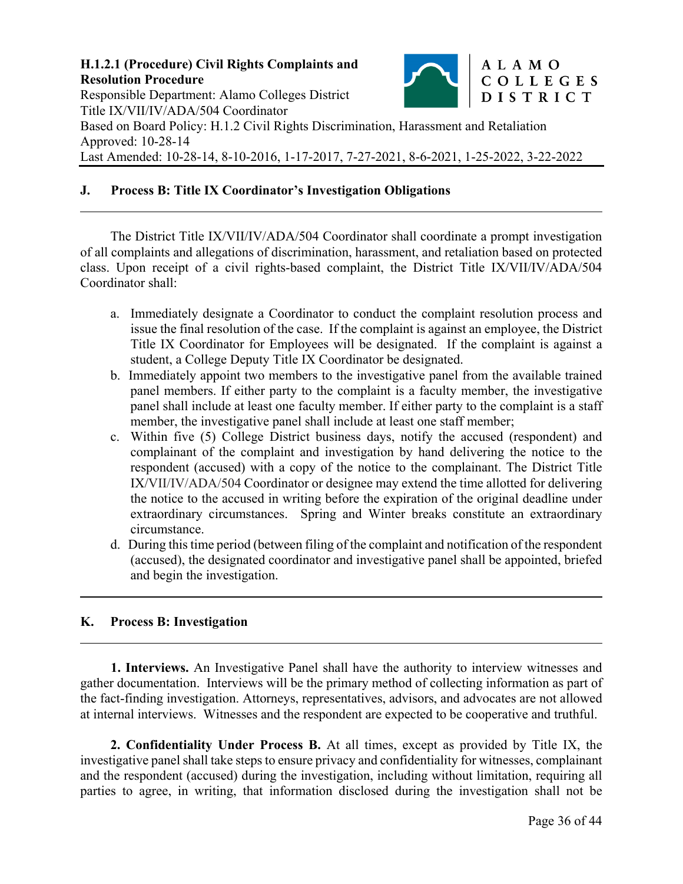

#### **J. Process B: Title IX Coordinator's Investigation Obligations**

The District Title IX/VII/IV/ADA/504 Coordinator shall coordinate a prompt investigation of all complaints and allegations of discrimination, harassment, and retaliation based on protected class. Upon receipt of a civil rights-based complaint, the District Title IX/VII/IV/ADA/504 Coordinator shall:

- a. Immediately designate a Coordinator to conduct the complaint resolution process and issue the final resolution of the case. If the complaint is against an employee, the District Title IX Coordinator for Employees will be designated. If the complaint is against a student, a College Deputy Title IX Coordinator be designated.
- b. Immediately appoint two members to the investigative panel from the available trained panel members. If either party to the complaint is a faculty member, the investigative panel shall include at least one faculty member. If either party to the complaint is a staff member, the investigative panel shall include at least one staff member;
- c. Within five (5) College District business days, notify the accused (respondent) and complainant of the complaint and investigation by hand delivering the notice to the respondent (accused) with a copy of the notice to the complainant. The District Title IX/VII/IV/ADA/504 Coordinator or designee may extend the time allotted for delivering the notice to the accused in writing before the expiration of the original deadline under extraordinary circumstances. Spring and Winter breaks constitute an extraordinary circumstance.
- d. During this time period (between filing of the complaint and notification of the respondent (accused), the designated coordinator and investigative panel shall be appointed, briefed and begin the investigation.

### **K. Process B: Investigation**

 $\overline{a}$ 

 $\overline{a}$ 

 $\overline{a}$ 

**1. Interviews.** An Investigative Panel shall have the authority to interview witnesses and gather documentation. Interviews will be the primary method of collecting information as part of the fact-finding investigation. Attorneys, representatives, advisors, and advocates are not allowed at internal interviews. Witnesses and the respondent are expected to be cooperative and truthful.

**2. Confidentiality Under Process B.** At all times, except as provided by Title IX, the investigative panel shall take steps to ensure privacy and confidentiality for witnesses, complainant and the respondent (accused) during the investigation, including without limitation, requiring all parties to agree, in writing, that information disclosed during the investigation shall not be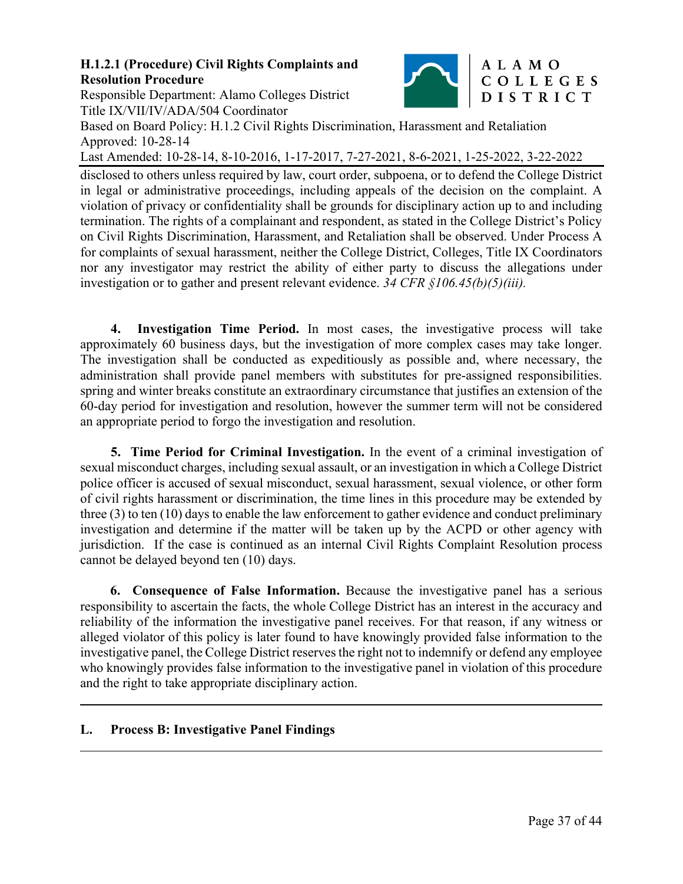Responsible Department: Alamo Colleges District Title IX/VII/IV/ADA/504 Coordinator



# ALAMO COLLEGES DISTRICT

Based on Board Policy: H.1.2 Civil Rights Discrimination, Harassment and Retaliation Approved: 10-28-14

Last Amended: 10-28-14, 8-10-2016, 1-17-2017, 7-27-2021, 8-6-2021, 1-25-2022, 3-22-2022

disclosed to others unless required by law, court order, subpoena, or to defend the College District in legal or administrative proceedings, including appeals of the decision on the complaint. A violation of privacy or confidentiality shall be grounds for disciplinary action up to and including termination. The rights of a complainant and respondent, as stated in the College District's Policy on Civil Rights Discrimination, Harassment, and Retaliation shall be observed. Under Process A for complaints of sexual harassment, neither the College District, Colleges, Title IX Coordinators nor any investigator may restrict the ability of either party to discuss the allegations under investigation or to gather and present relevant evidence. *34 CFR §106.45(b)(5)(iii).* 

**4. Investigation Time Period.** In most cases, the investigative process will take approximately 60 business days, but the investigation of more complex cases may take longer. The investigation shall be conducted as expeditiously as possible and, where necessary, the administration shall provide panel members with substitutes for pre-assigned responsibilities. spring and winter breaks constitute an extraordinary circumstance that justifies an extension of the 60-day period for investigation and resolution, however the summer term will not be considered an appropriate period to forgo the investigation and resolution.

**5. Time Period for Criminal Investigation.** In the event of a criminal investigation of sexual misconduct charges, including sexual assault, or an investigation in which a College District police officer is accused of sexual misconduct, sexual harassment, sexual violence, or other form of civil rights harassment or discrimination, the time lines in this procedure may be extended by three (3) to ten (10) days to enable the law enforcement to gather evidence and conduct preliminary investigation and determine if the matter will be taken up by the ACPD or other agency with jurisdiction. If the case is continued as an internal Civil Rights Complaint Resolution process cannot be delayed beyond ten (10) days.

**6. Consequence of False Information.** Because the investigative panel has a serious responsibility to ascertain the facts, the whole College District has an interest in the accuracy and reliability of the information the investigative panel receives. For that reason, if any witness or alleged violator of this policy is later found to have knowingly provided false information to the investigative panel, the College District reserves the right not to indemnify or defend any employee who knowingly provides false information to the investigative panel in violation of this procedure and the right to take appropriate disciplinary action.

#### **L. Process B: Investigative Panel Findings**   $\overline{a}$

 $\overline{a}$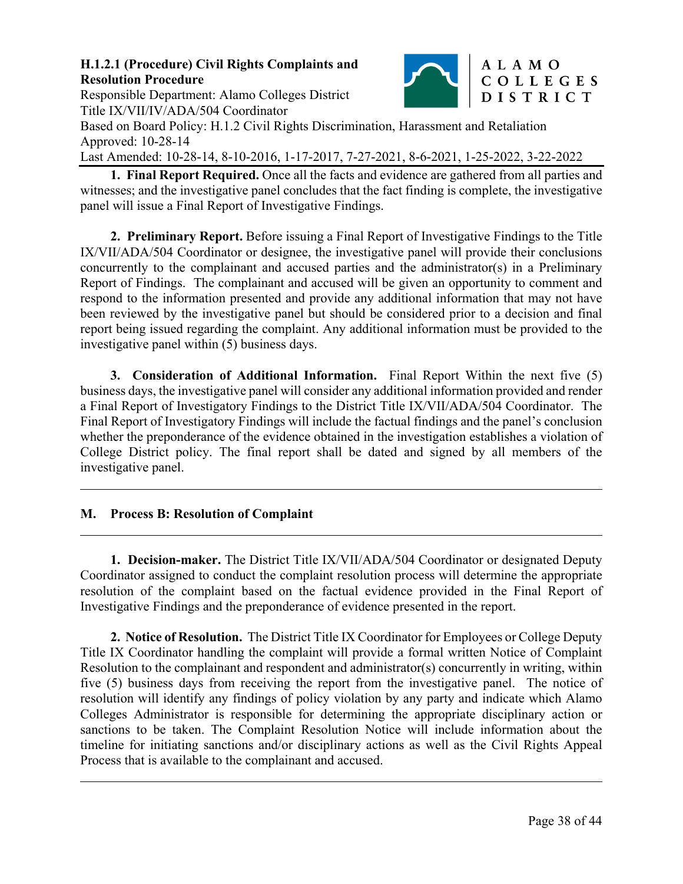

Responsible Department: Alamo Colleges District Title IX/VII/IV/ADA/504 Coordinator

Based on Board Policy: H.1.2 Civil Rights Discrimination, Harassment and Retaliation Approved: 10-28-14

Last Amended: 10-28-14, 8-10-2016, 1-17-2017, 7-27-2021, 8-6-2021, 1-25-2022, 3-22-2022

**1. Final Report Required.** Once all the facts and evidence are gathered from all parties and witnesses; and the investigative panel concludes that the fact finding is complete, the investigative panel will issue a Final Report of Investigative Findings.

**2. Preliminary Report.** Before issuing a Final Report of Investigative Findings to the Title IX/VII/ADA/504 Coordinator or designee, the investigative panel will provide their conclusions concurrently to the complainant and accused parties and the administrator(s) in a Preliminary Report of Findings. The complainant and accused will be given an opportunity to comment and respond to the information presented and provide any additional information that may not have been reviewed by the investigative panel but should be considered prior to a decision and final report being issued regarding the complaint. Any additional information must be provided to the investigative panel within (5) business days.

**3. Consideration of Additional Information.** Final Report Within the next five (5) business days, the investigative panel will consider any additional information provided and render a Final Report of Investigatory Findings to the District Title IX/VII/ADA/504 Coordinator. The Final Report of Investigatory Findings will include the factual findings and the panel's conclusion whether the preponderance of the evidence obtained in the investigation establishes a violation of College District policy. The final report shall be dated and signed by all members of the investigative panel.

# **M. Process B: Resolution of Complaint**

 $\overline{a}$ 

 $\overline{a}$ 

 $\overline{a}$ 

**1. Decision-maker.** The District Title IX/VII/ADA/504 Coordinator or designated Deputy Coordinator assigned to conduct the complaint resolution process will determine the appropriate resolution of the complaint based on the factual evidence provided in the Final Report of Investigative Findings and the preponderance of evidence presented in the report.

**2. Notice of Resolution.** The District Title IX Coordinator for Employees or College Deputy Title IX Coordinator handling the complaint will provide a formal written Notice of Complaint Resolution to the complainant and respondent and administrator(s) concurrently in writing, within five (5) business days from receiving the report from the investigative panel. The notice of resolution will identify any findings of policy violation by any party and indicate which Alamo Colleges Administrator is responsible for determining the appropriate disciplinary action or sanctions to be taken. The Complaint Resolution Notice will include information about the timeline for initiating sanctions and/or disciplinary actions as well as the Civil Rights Appeal Process that is available to the complainant and accused.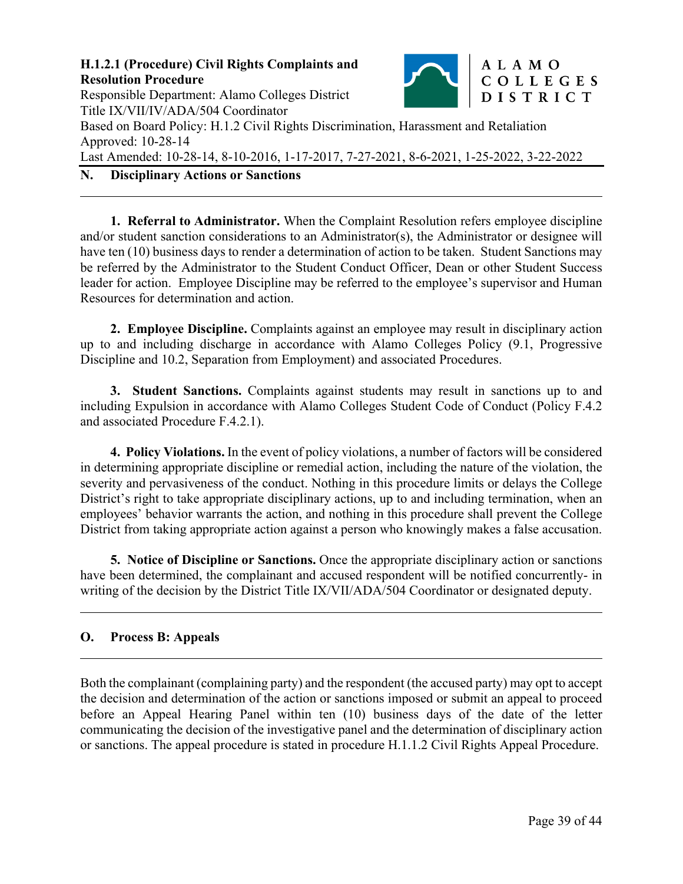

**1. Referral to Administrator.** When the Complaint Resolution refers employee discipline and/or student sanction considerations to an Administrator(s), the Administrator or designee will have ten (10) business days to render a determination of action to be taken. Student Sanctions may be referred by the Administrator to the Student Conduct Officer, Dean or other Student Success leader for action. Employee Discipline may be referred to the employee's supervisor and Human Resources for determination and action.

**2. Employee Discipline.** Complaints against an employee may result in disciplinary action up to and including discharge in accordance with Alamo Colleges Policy (9.1, Progressive Discipline and 10.2, Separation from Employment) and associated Procedures.

**3. Student Sanctions.** Complaints against students may result in sanctions up to and including Expulsion in accordance with Alamo Colleges Student Code of Conduct (Policy F.4.2 and associated Procedure F.4.2.1).

**4. Policy Violations.** In the event of policy violations, a number of factors will be considered in determining appropriate discipline or remedial action, including the nature of the violation, the severity and pervasiveness of the conduct. Nothing in this procedure limits or delays the College District's right to take appropriate disciplinary actions, up to and including termination, when an employees' behavior warrants the action, and nothing in this procedure shall prevent the College District from taking appropriate action against a person who knowingly makes a false accusation.

**5. Notice of Discipline or Sanctions.** Once the appropriate disciplinary action or sanctions have been determined, the complainant and accused respondent will be notified concurrently- in writing of the decision by the District Title IX/VII/ADA/504 Coordinator or designated deputy.

#### **O. Process B: Appeals**

 $\overline{a}$ 

 $\overline{a}$ 

Both the complainant (complaining party) and the respondent (the accused party) may opt to accept the decision and determination of the action or sanctions imposed or submit an appeal to proceed before an Appeal Hearing Panel within ten (10) business days of the date of the letter communicating the decision of the investigative panel and the determination of disciplinary action or sanctions. The appeal procedure is stated in procedure H.1.1.2 Civil Rights Appeal Procedure.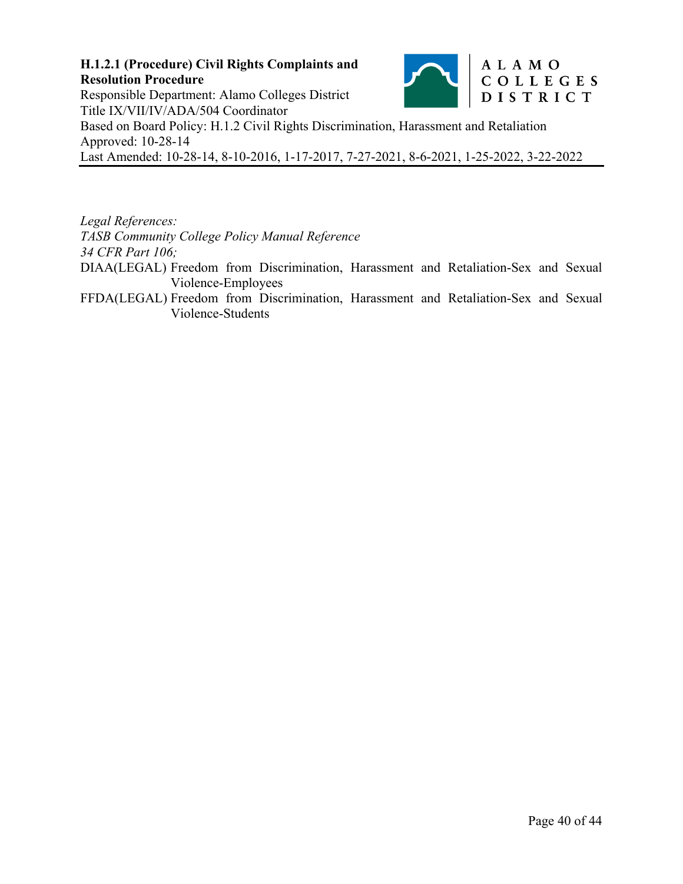#### **H.1.2.1 (Procedure) Civil Rights Complaints and**  ALAMO COLLEGES **Resolution Procedure**  Responsible Department: Alamo Colleges District DISTRICT Title IX/VII/IV/ADA/504 Coordinator Based on Board Policy: H.1.2 Civil Rights Discrimination, Harassment and Retaliation Approved: 10-28-14 Last Amended: 10-28-14, 8-10-2016, 1-17-2017, 7-27-2021, 8-6-2021, 1-25-2022, 3-22-2022

*Legal References:* 

*TASB Community College Policy Manual Reference* 

*34 CFR Part 106;* 

DIAA(LEGAL) Freedom from Discrimination, Harassment and Retaliation-Sex and Sexual Violence-Employees

FFDA(LEGAL) Freedom from Discrimination, Harassment and Retaliation-Sex and Sexual Violence-Students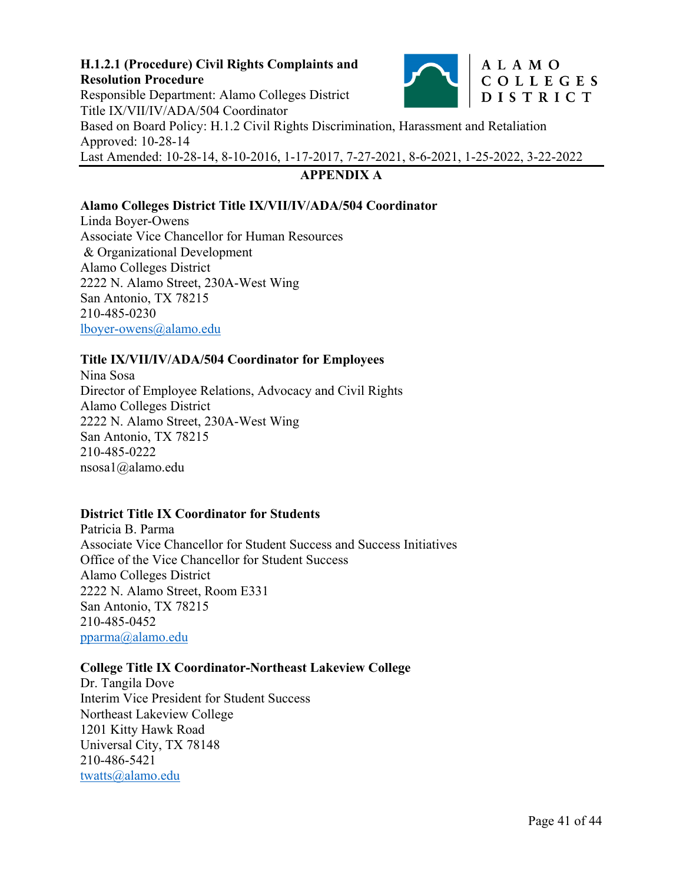

# **APPENDIX A**

#### **Alamo Colleges District Title IX/VII/IV/ADA/504 Coordinator**

Linda Boyer-Owens Associate Vice Chancellor for Human Resources & Organizational Development Alamo Colleges District 2222 N. Alamo Street, 230A-West Wing San Antonio, TX 78215 210-485-0230 lboyer-owens@alamo.edu

#### **Title IX/VII/IV/ADA/504 Coordinator for Employees**

Nina Sosa Director of Employee Relations, Advocacy and Civil Rights Alamo Colleges District 2222 N. Alamo Street, 230A-West Wing San Antonio, TX 78215 210-485-0222 nsosa1@alamo.edu

#### **District Title IX Coordinator for Students**

Patricia B. Parma Associate Vice Chancellor for Student Success and Success Initiatives Office of the Vice Chancellor for Student Success Alamo Colleges District 2222 N. Alamo Street, Room E331 San Antonio, TX 78215 210-485-0452 pparma@alamo.edu

#### **College Title IX Coordinator-Northeast Lakeview College**

Dr. Tangila Dove Interim Vice President for Student Success Northeast Lakeview College 1201 Kitty Hawk Road Universal City, TX 78148 210-486-5421 twatts@alamo.edu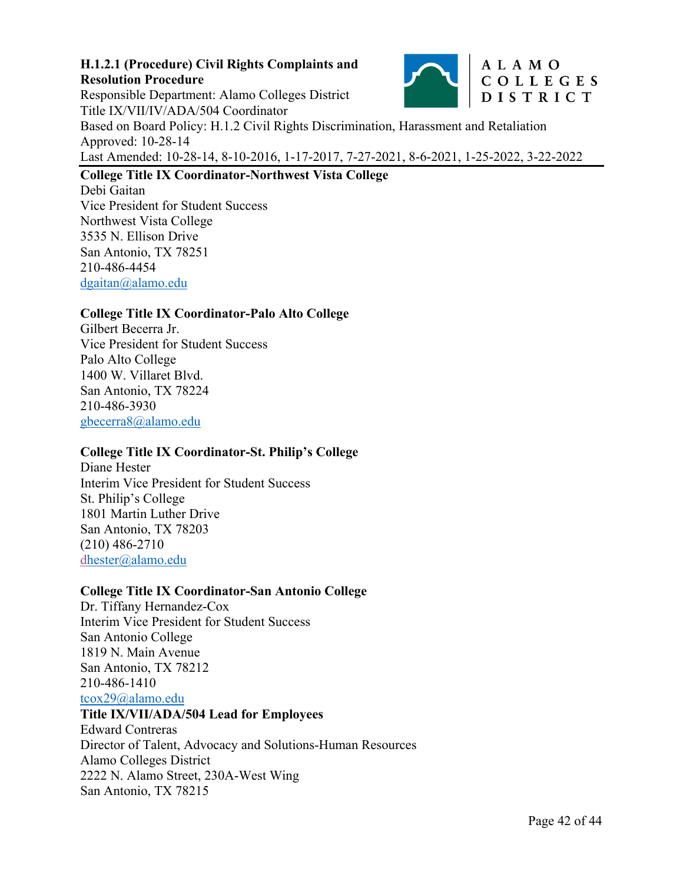

Responsible Department: Alamo Colleges District DISTRICT Title IX/VII/IV/ADA/504 Coordinator Based on Board Policy: H.1.2 Civil Rights Discrimination, Harassment and Retaliation Approved: 10-28-14 Last Amended: 10-28-14, 8-10-2016, 1-17-2017, 7-27-2021, 8-6-2021, 1-25-2022, 3-22-2022

# **College Title IX Coordinator-Northwest Vista College**

Debi Gaitan Vice President for Student Success Northwest Vista College 3535 N. Ellison Drive San Antonio, TX 78251 210-486-4454 dgaitan@alamo.edu

#### **College Title IX Coordinator-Palo Alto College**

Gilbert Becerra Jr. Vice President for Student Success Palo Alto College 1400 W. Villaret Blvd. San Antonio, TX 78224 210-486-3930 gbecerra8@alamo.edu

### **College Title IX Coordinator-St. Philip's College**

Diane Hester Interim Vice President for Student Success St. Philip's College 1801 Martin Luther Drive San Antonio, TX 78203 (210) 486-2710 dhester@alamo.edu

#### **College Title IX Coordinator-San Antonio College**

Dr. Tiffany Hernandez-Cox Interim Vice President for Student Success San Antonio College 1819 N. Main Avenue San Antonio, TX 78212 210-486-1410 tcox29@alamo.edu **Title IX/VII/ADA/504 Lead for Employees** 

Edward Contreras Director of Talent, Advocacy and Solutions-Human Resources Alamo Colleges District 2222 N. Alamo Street, 230A-West Wing San Antonio, TX 78215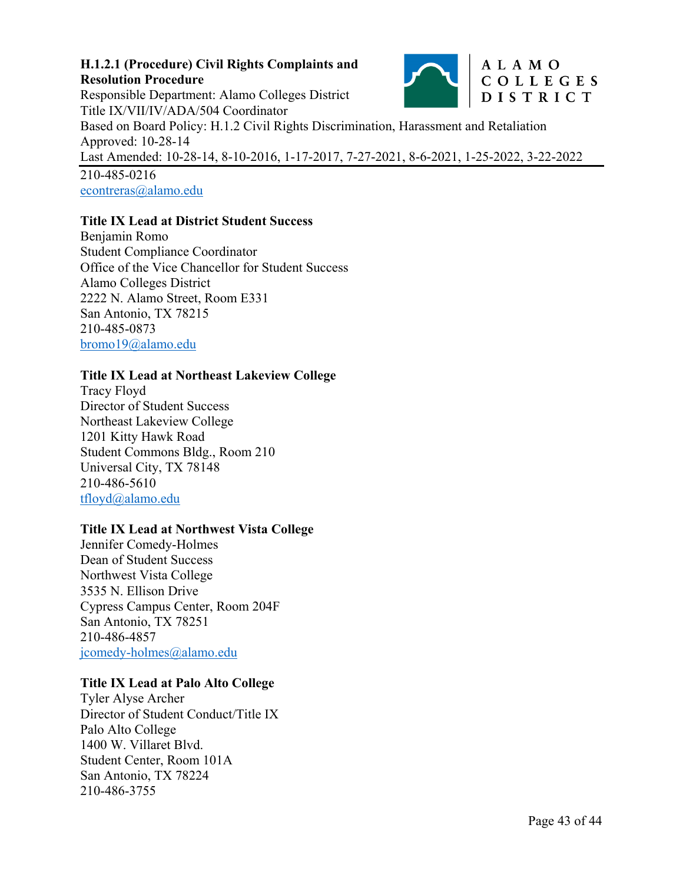

Responsible Department: Alamo Colleges District DISTRICT Title IX/VII/IV/ADA/504 Coordinator Based on Board Policy: H.1.2 Civil Rights Discrimination, Harassment and Retaliation Approved: 10-28-14 Last Amended: 10-28-14, 8-10-2016, 1-17-2017, 7-27-2021, 8-6-2021, 1-25-2022, 3-22-2022 210-485-0216

econtreras@alamo.edu

# **Title IX Lead at District Student Success**

Benjamin Romo Student Compliance Coordinator Office of the Vice Chancellor for Student Success Alamo Colleges District 2222 N. Alamo Street, Room E331 San Antonio, TX 78215 210-485-0873 bromo19@alamo.edu

### **Title IX Lead at Northeast Lakeview College**

Tracy Floyd Director of Student Success Northeast Lakeview College 1201 Kitty Hawk Road Student Commons Bldg., Room 210 Universal City, TX 78148 210-486-5610 tfloyd@alamo.edu

### **Title IX Lead at Northwest Vista College**

Jennifer Comedy-Holmes Dean of Student Success Northwest Vista College 3535 N. Ellison Drive Cypress Campus Center, Room 204F San Antonio, TX 78251 210-486-4857 jcomedy-holmes@alamo.edu

### **Title IX Lead at Palo Alto College**

Tyler Alyse Archer Director of Student Conduct/Title IX Palo Alto College 1400 W. Villaret Blvd. Student Center, Room 101A San Antonio, TX 78224 210-486-3755